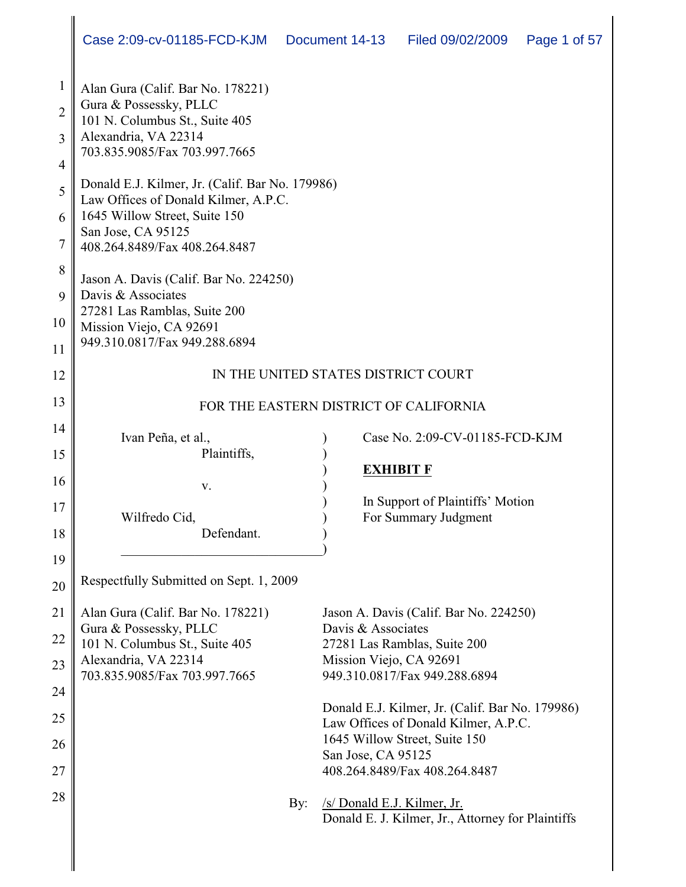| $\mathbf{1}$<br>$\overline{2}$<br>3<br>$\overline{4}$ | Alan Gura (Calif. Bar No. 178221)<br>Gura & Possessky, PLLC<br>101 N. Columbus St., Suite 405<br>Alexandria, VA 22314<br>703.835.9085/Fax 703.997.7665 |                                                                                         |
|-------------------------------------------------------|--------------------------------------------------------------------------------------------------------------------------------------------------------|-----------------------------------------------------------------------------------------|
| 5                                                     | Donald E.J. Kilmer, Jr. (Calif. Bar No. 179986)<br>Law Offices of Donald Kilmer, A.P.C.                                                                |                                                                                         |
| 6                                                     | 1645 Willow Street, Suite 150<br>San Jose, CA 95125                                                                                                    |                                                                                         |
| $\overline{7}$                                        | 408.264.8489/Fax 408.264.8487                                                                                                                          |                                                                                         |
| 8<br>9                                                | Jason A. Davis (Calif. Bar No. 224250)<br>Davis & Associates                                                                                           |                                                                                         |
| 10                                                    | 27281 Las Ramblas, Suite 200<br>Mission Viejo, CA 92691                                                                                                |                                                                                         |
| 11                                                    | 949.310.0817/Fax 949.288.6894                                                                                                                          |                                                                                         |
| 12                                                    |                                                                                                                                                        | IN THE UNITED STATES DISTRICT COURT                                                     |
| 13                                                    |                                                                                                                                                        | FOR THE EASTERN DISTRICT OF CALIFORNIA                                                  |
| 14                                                    | Ivan Peña, et al.,                                                                                                                                     | Case No. 2:09-CV-01185-FCD-KJM                                                          |
| 15                                                    | Plaintiffs,                                                                                                                                            | <b>EXHIBIT F</b>                                                                        |
| 16                                                    | V.                                                                                                                                                     |                                                                                         |
| 17                                                    | Wilfredo Cid,                                                                                                                                          | In Support of Plaintiffs' Motion<br>For Summary Judgment                                |
| 18                                                    | Defendant.                                                                                                                                             |                                                                                         |
| 19                                                    |                                                                                                                                                        |                                                                                         |
| 20                                                    | Respectfully Submitted on Sept. 1, 2009                                                                                                                |                                                                                         |
| 21                                                    | Alan Gura (Calif. Bar No. 178221)                                                                                                                      | Jason A. Davis (Calif. Bar No. 224250)                                                  |
| 22                                                    | Gura & Possessky, PLLC<br>101 N. Columbus St., Suite 405                                                                                               | Davis & Associates<br>27281 Las Ramblas, Suite 200                                      |
| 23                                                    | Alexandria, VA 22314<br>703.835.9085/Fax 703.997.7665                                                                                                  | Mission Viejo, CA 92691<br>949.310.0817/Fax 949.288.6894                                |
| 24                                                    |                                                                                                                                                        |                                                                                         |
| 25                                                    |                                                                                                                                                        | Donald E.J. Kilmer, Jr. (Calif. Bar No. 179986)<br>Law Offices of Donald Kilmer, A.P.C. |
| 26                                                    |                                                                                                                                                        | 1645 Willow Street, Suite 150                                                           |
| 27                                                    |                                                                                                                                                        | San Jose, CA 95125<br>408.264.8489/Fax 408.264.8487                                     |
| 28                                                    | By:                                                                                                                                                    | /s/ Donald E.J. Kilmer, Jr.<br>Donald E. J. Kilmer, Jr., Attorney for Plaintiffs        |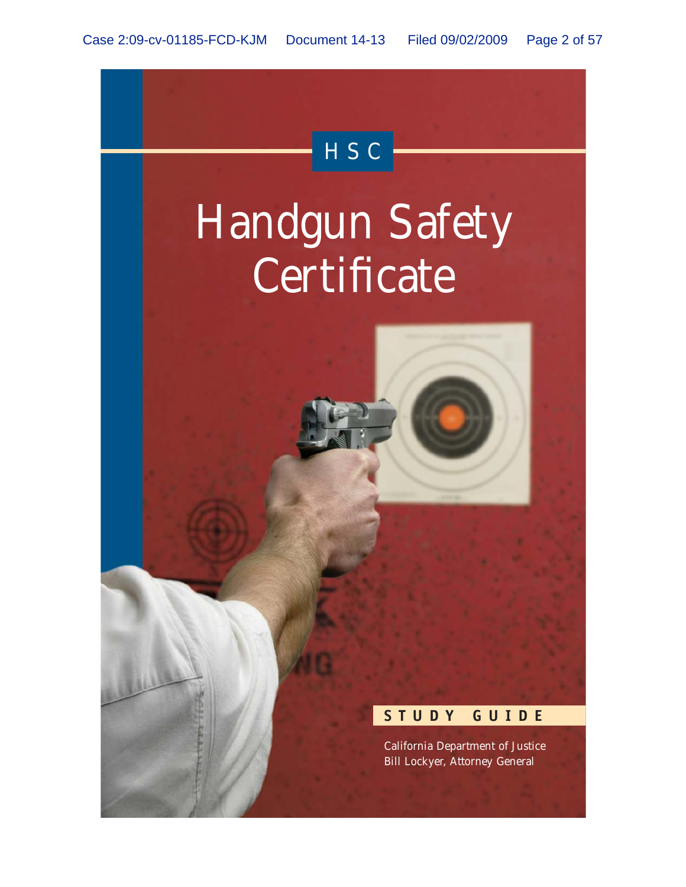## H S C

# Handgun Safety **Certificate**

### **STUDY GUIDE**

California Department of Justice Bill Lockyer, Attorney General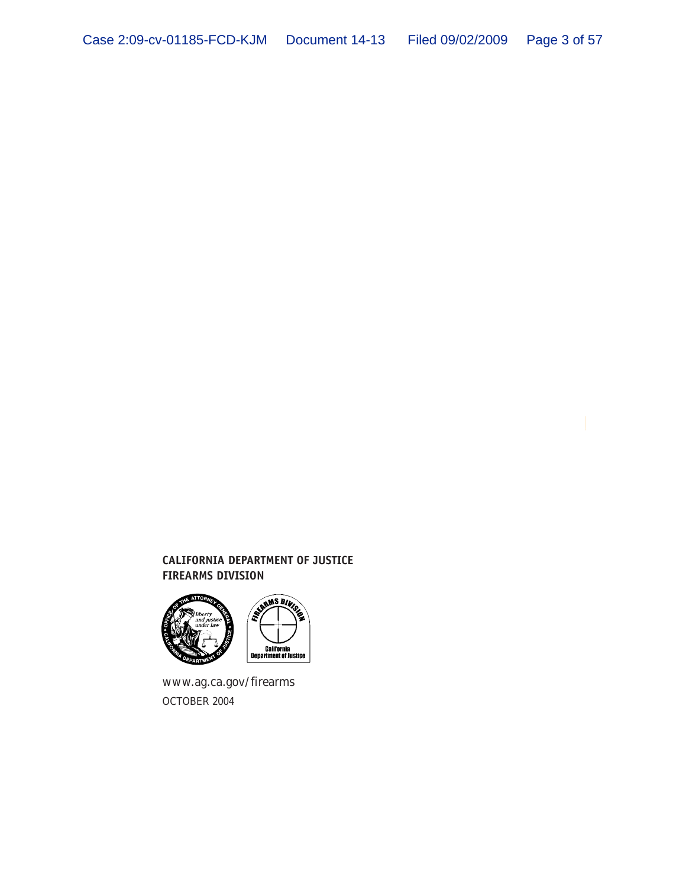#### **CALIFORNIA DEPARTMENT OF JUSTICE FIREARMS DIVISION**



www.ag.ca.gov/firearms OCTOBER 2004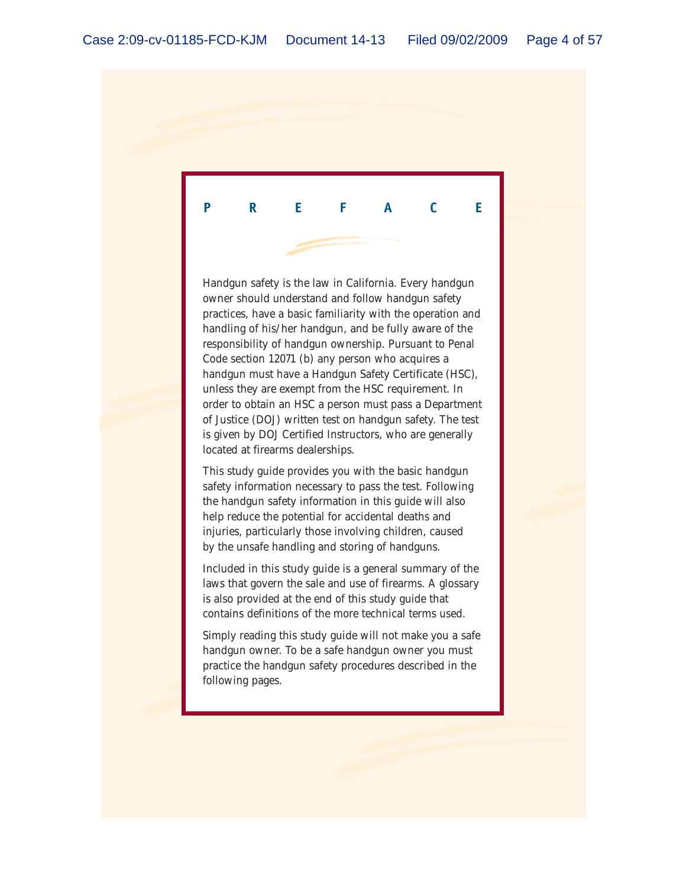### **PREFACE**

Handgun safety is the law in California. Every handgun owner should understand and follow handgun safety practices, have a basic familiarity with the operation and handling of his/her handgun, and be fully aware of the responsibility of handgun ownership. Pursuant to Penal Code section 12071 (b) any person who acquires a handgun must have a Handgun Safety Certificate (HSC), unless they are exempt from the HSC requirement. In order to obtain an HSC a person must pass a Department of Justice (DOJ) written test on handgun safety. The test is given by DOJ Certified Instructors, who are generally located at firearms dealerships.

This study guide provides you with the basic handgun safety information necessary to pass the test. Following the handgun safety information in this guide will also help reduce the potential for accidental deaths and injuries, particularly those involving children, caused by the unsafe handling and storing of handguns.

Included in this study guide is a general summary of the laws that govern the sale and use of firearms. A glossary is also provided at the end of this study guide that contains definitions of the more technical terms used.

Simply reading this study guide will not make you a safe handgun owner. To be a safe handgun owner you must practice the handgun safety procedures described in the following pages.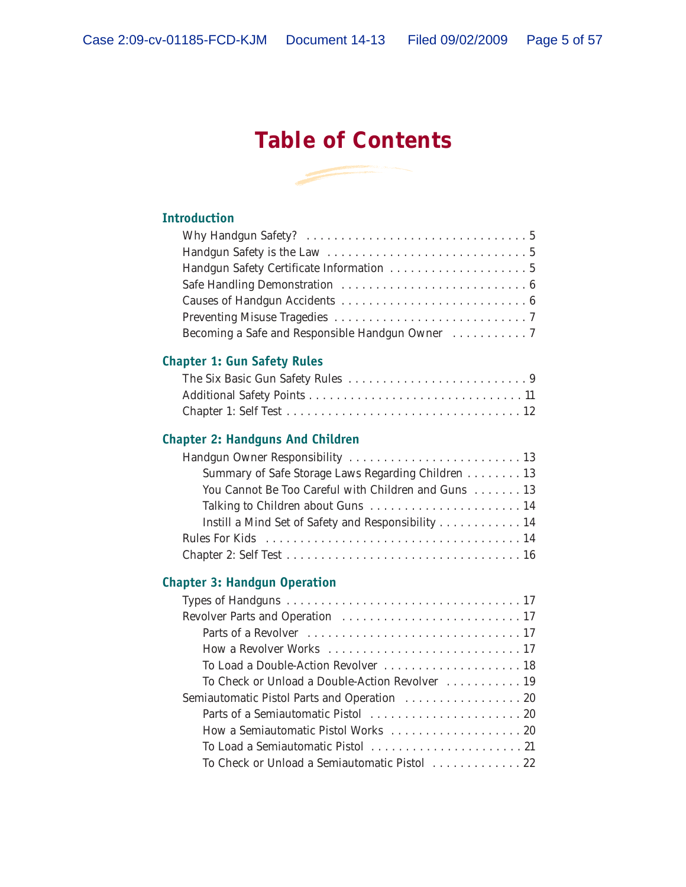### **Table of Contents**



#### **Introduction**

| Becoming a Safe and Responsible Handgun Owner 7 |  |  |  |  |  |  |
|-------------------------------------------------|--|--|--|--|--|--|

#### **Chapter 1: Gun Safety Rules**

#### **Chapter 2: Handguns And Children**

| Summary of Safe Storage Laws Regarding Children 13  |
|-----------------------------------------------------|
| You Cannot Be Too Careful with Children and Guns 13 |
|                                                     |
| Instill a Mind Set of Safety and Responsibility 14  |
|                                                     |
|                                                     |

#### **Chapter 3: Handgun Operation**

| To Check or Unload a Double-Action Revolver 19 |
|------------------------------------------------|
|                                                |
|                                                |
|                                                |
|                                                |
| To Check or Unload a Semiautomatic Pistol  22  |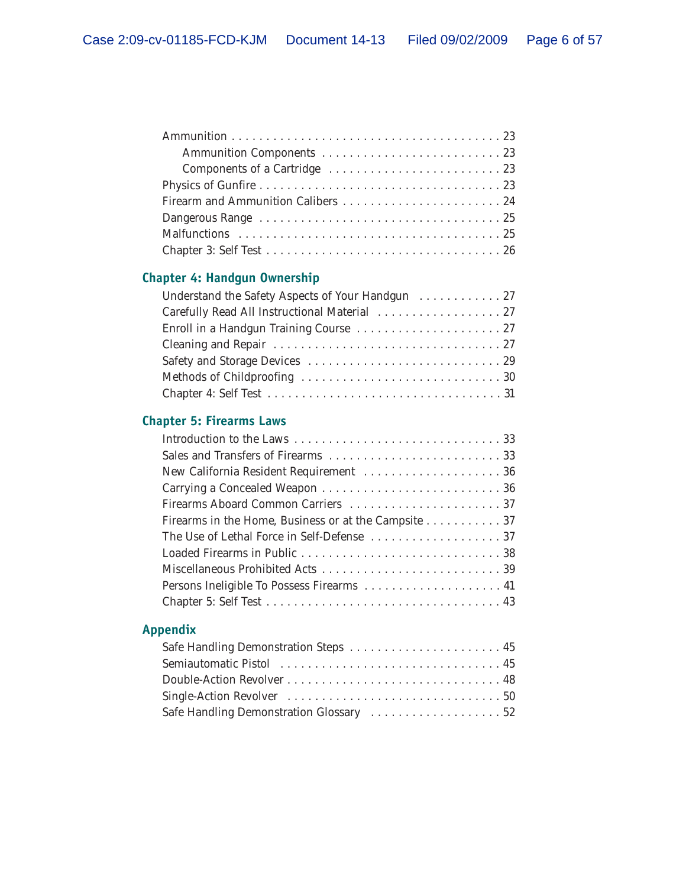#### **Chapter 4: Handgun Ownership**

| Understand the Safety Aspects of Your Handgun 27 |  |
|--------------------------------------------------|--|
|                                                  |  |
|                                                  |  |
|                                                  |  |
|                                                  |  |
|                                                  |  |
|                                                  |  |

#### **Chapter 5: Firearms Laws**

| Firearms in the Home, Business or at the Campsite 37 |  |
|------------------------------------------------------|--|
|                                                      |  |
|                                                      |  |
|                                                      |  |
|                                                      |  |
|                                                      |  |
| <b>Appendix</b>                                      |  |
|                                                      |  |
|                                                      |  |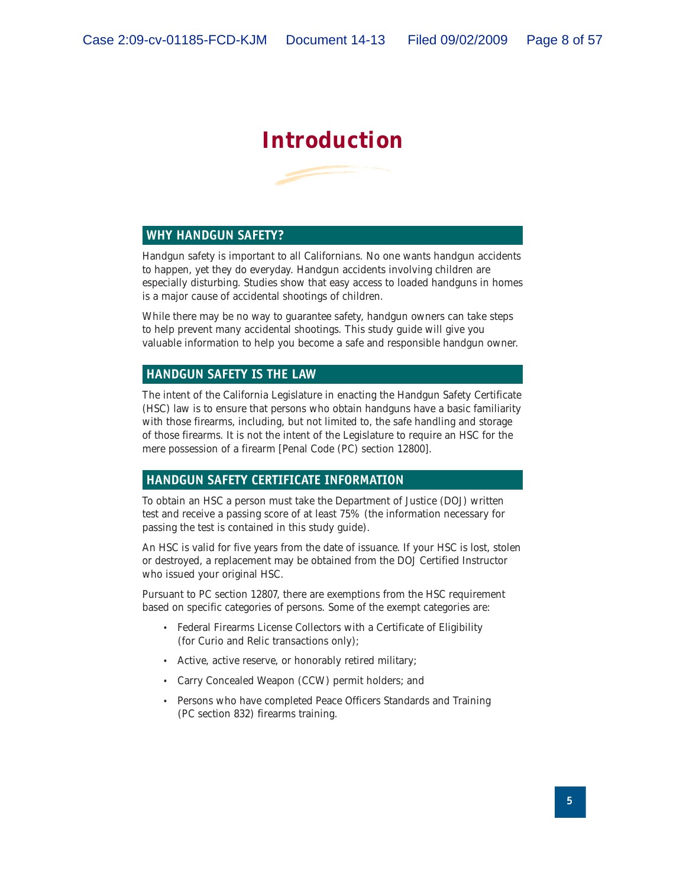### **Introduction**

#### **WHY HANDGUN SAFETY?**

Handgun safety is important to all Californians. No one wants handgun accidents to happen, yet they do everyday. Handgun accidents involving children are especially disturbing. Studies show that easy access to loaded handguns in homes is a major cause of accidental shootings of children.

While there may be no way to guarantee safety, handgun owners can take steps to help prevent many accidental shootings. This study guide will give you valuable information to help you become a safe and responsible handgun owner.

#### **HANDGUN SAFETY IS THE LAW**

The intent of the California Legislature in enacting the Handgun Safety Certificate (HSC) law is to ensure that persons who obtain handguns have a basic familiarity with those firearms, including, but not limited to, the safe handling and storage of those firearms. It is not the intent of the Legislature to require an HSC for the mere possession of a firearm [Penal Code (PC) section 12800].

#### **HANDGUN SAFETY CERTIFICATE INFORMATION**

To obtain an HSC a person must take the Department of Justice (DOJ) written test and receive a passing score of at least 75% (the information necessary for passing the test is contained in this study guide).

An HSC is valid for five years from the date of issuance. If your HSC is lost, stolen or destroyed, a replacement may be obtained from the DOJ Certified Instructor who issued your original HSC.

Pursuant to PC section 12807, there are exemptions from the HSC requirement based on specific categories of persons. Some of the exempt categories are:

- Federal Firearms License Collectors with a Certificate of Eligibility (for Curio and Relic transactions only);
- Active, active reserve, or honorably retired military;
- Carry Concealed Weapon (CCW) permit holders; and
- Persons who have completed Peace Officers Standards and Training (PC section 832) firearms training.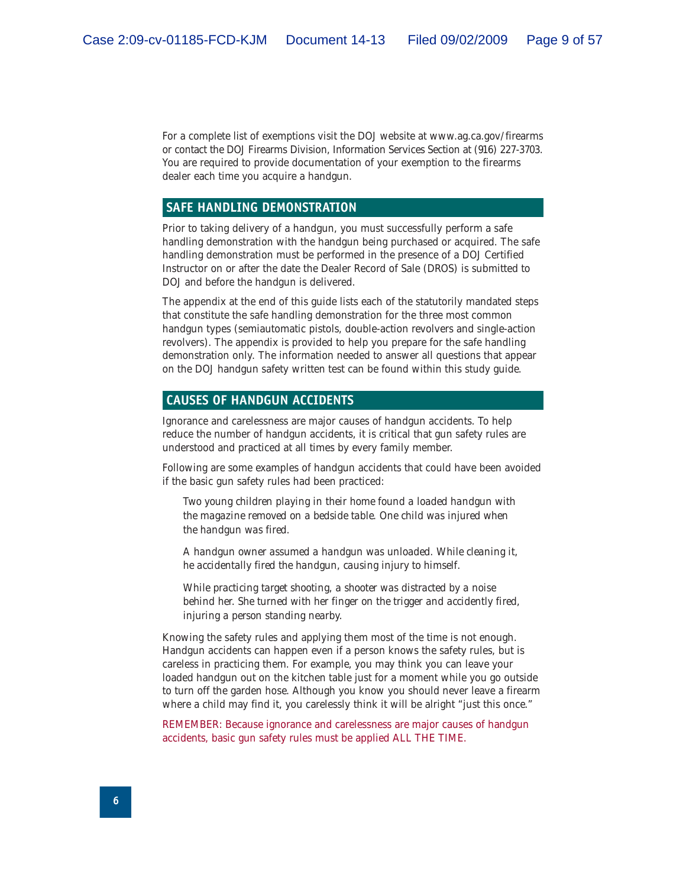For a complete list of exemptions visit the DOJ website at www.ag.ca.gov/firearms or contact the DOJ Firearms Division, Information Services Section at (916) 227-3703. You are required to provide documentation of your exemption to the firearms dealer each time you acquire a handgun.

#### **SAFE HANDLING DEMONSTRATION**

Prior to taking delivery of a handgun, you must successfully perform a safe handling demonstration with the handgun being purchased or acquired. The safe handling demonstration must be performed in the presence of a DOJ Certified Instructor on or after the date the Dealer Record of Sale (DROS) is submitted to DOJ and before the handgun is delivered.

The appendix at the end of this guide lists each of the statutorily mandated steps that constitute the safe handling demonstration for the three most common handgun types (semiautomatic pistols, double-action revolvers and single-action revolvers). The appendix is provided to help you prepare for the safe handling demonstration only. The information needed to answer all questions that appear on the DOJ handgun safety written test can be found within this study guide.

#### **CAUSES OF HANDGUN ACCIDENTS**

Ignorance and carelessness are major causes of handgun accidents. To help reduce the number of handgun accidents, it is critical that gun safety rules are understood and practiced at all times by every family member.

Following are some examples of handgun accidents that could have been avoided if the basic gun safety rules had been practiced:

*Two young children playing in their home found a loaded handgun with the magazine removed on a bedside table. One child was injured when the handgun was fired.*

*A handgun owner assumed a handgun was unloaded. While cleaning it, he accidentally fired the handgun, causing injury to himself.*

*While practicing target shooting, a shooter was distracted by a noise behind her. She turned with her finger on the trigger and accidently fired, injuring a person standing nearby.*

Knowing the safety rules and applying them most of the time is not enough. Handgun accidents can happen even if a person knows the safety rules, but is careless in practicing them. For example, you may think you can leave your loaded handgun out on the kitchen table just for a moment while you go outside to turn off the garden hose. Although you know you should never leave a firearm where a child may find it, you carelessly think it will be alright "just this once."

REMEMBER: Because ignorance and carelessness are major causes of handgun accidents, basic gun safety rules must be applied ALL THE TIME.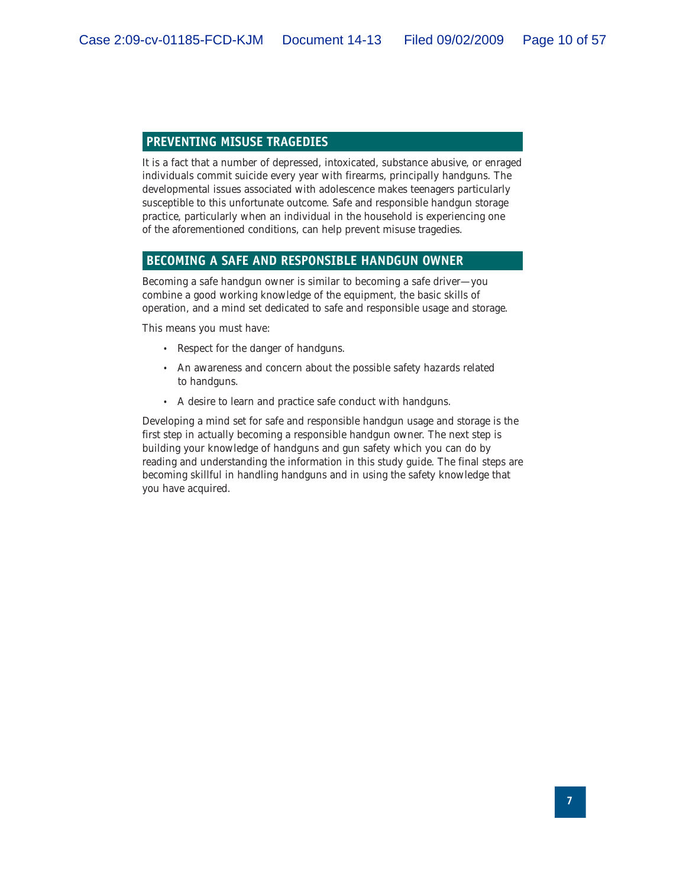#### **PREVENTING MISUSE TRAGEDIES**

It is a fact that a number of depressed, intoxicated, substance abusive, or enraged individuals commit suicide every year with firearms, principally handguns. The developmental issues associated with adolescence makes teenagers particularly susceptible to this unfortunate outcome. Safe and responsible handgun storage practice, particularly when an individual in the household is experiencing one of the aforementioned conditions, can help prevent misuse tragedies.

#### **BECOMING A SAFE AND RESPONSIBLE HANDGUN OWNER**

Becoming a safe handgun owner is similar to becoming a safe driver—you combine a good working knowledge of the equipment, the basic skills of operation, and a mind set dedicated to safe and responsible usage and storage.

This means you must have:

- Respect for the danger of handguns.
- An awareness and concern about the possible safety hazards related to handguns.
- A desire to learn and practice safe conduct with handguns.

Developing a mind set for safe and responsible handgun usage and storage is the first step in actually becoming a responsible handgun owner. The next step is building your knowledge of handguns and gun safety which you can do by reading and understanding the information in this study guide. The final steps are becoming skillful in handling handguns and in using the safety knowledge that you have acquired.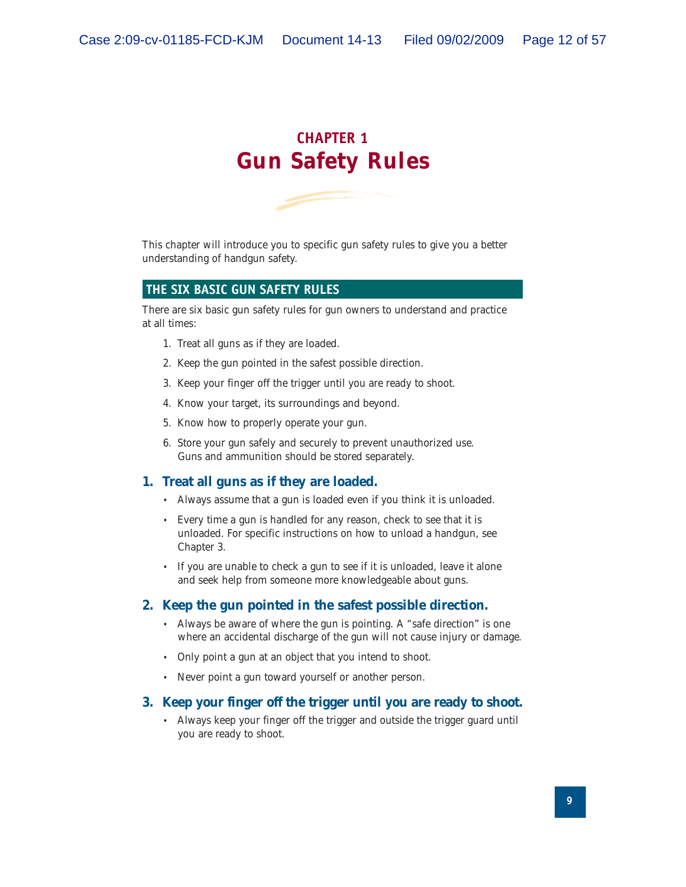### **CHAPTER 1 Gun Safety Rules**



This chapter will introduce you to specific gun safety rules to give you a better understanding of handgun safety.

#### **THE SIX BASIC GUN SAFETY RULES**

There are six basic gun safety rules for gun owners to understand and practice at all times:

- 1. Treat all guns as if they are loaded.
- 2. Keep the gun pointed in the safest possible direction.
- 3. Keep your finger off the trigger until you are ready to shoot.
- 4. Know your target, its surroundings and beyond.
- 5. Know how to properly operate your gun.
- 6. Store your gun safely and securely to prevent unauthorized use. Guns and ammunition should be stored separately.

#### **1. Treat all guns as if they are loaded.**

- Always assume that a gun is loaded even if you think it is unloaded.
- Every time a gun is handled for any reason, check to see that it is unloaded. For specific instructions on how to unload a handgun, see Chapter 3.
- If you are unable to check a gun to see if it is unloaded, leave it alone and seek help from someone more knowledgeable about guns.

#### **2. Keep the gun pointed in the safest possible direction.**

- Always be aware of where the gun is pointing. A "safe direction" is one where an accidental discharge of the gun will not cause injury or damage.
- Only point a gun at an object that you intend to shoot.
- Never point a gun toward yourself or another person.

#### **3. Keep your finger off the trigger until you are ready to shoot.**

• Always keep your finger off the trigger and outside the trigger guard until you are ready to shoot.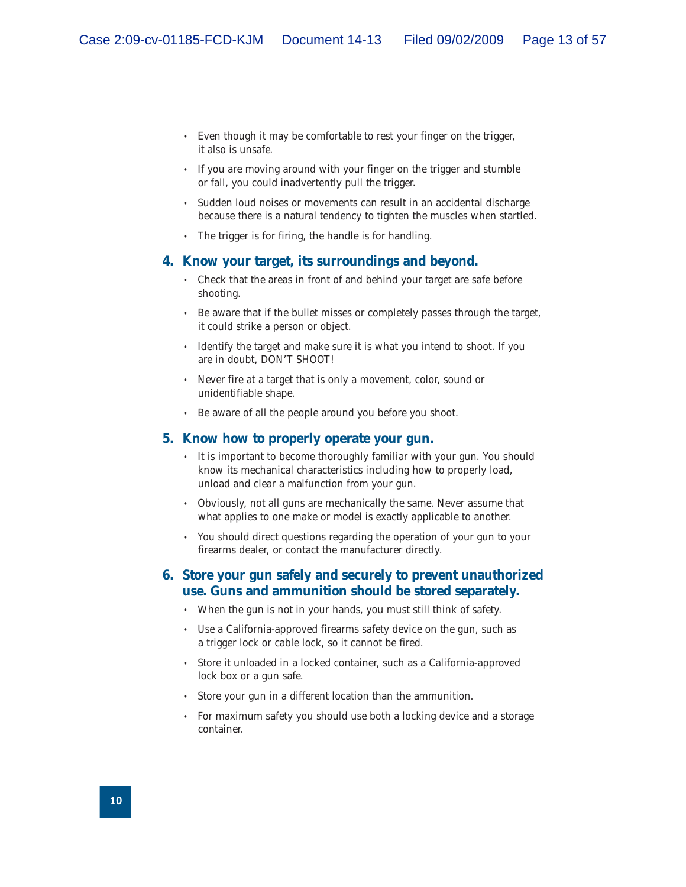- Even though it may be comfortable to rest your finger on the trigger, it also is unsafe.
- If you are moving around with your finger on the trigger and stumble or fall, you could inadvertently pull the trigger.
- Sudden loud noises or movements can result in an accidental discharge because there is a natural tendency to tighten the muscles when startled.
- The trigger is for firing, the handle is for handling.

#### **4. Know your target, its surroundings and beyond.**

- Check that the areas in front of and behind your target are safe before shooting.
- Be aware that if the bullet misses or completely passes through the target, it could strike a person or object.
- Identify the target and make sure it is what you intend to shoot. If you are in doubt, DON'T SHOOT!
- Never fire at a target that is only a movement, color, sound or unidentifiable shape.
- Be aware of all the people around you before you shoot.

#### **5. Know how to properly operate your gun.**

- It is important to become thoroughly familiar with your gun. You should know its mechanical characteristics including how to properly load, unload and clear a malfunction from your gun.
- Obviously, not all guns are mechanically the same. Never assume that what applies to one make or model is exactly applicable to another.
- You should direct questions regarding the operation of your gun to your firearms dealer, or contact the manufacturer directly.

#### **6. Store your gun safely and securely to prevent unauthorized use. Guns and ammunition should be stored separately.**

- When the gun is not in your hands, you must still think of safety.
- Use a California-approved firearms safety device on the gun, such as a trigger lock or cable lock, so it cannot be fired.
- Store it unloaded in a locked container, such as a California-approved lock box or a gun safe.
- Store your gun in a different location than the ammunition.
- For maximum safety you should use both a locking device and a storage container.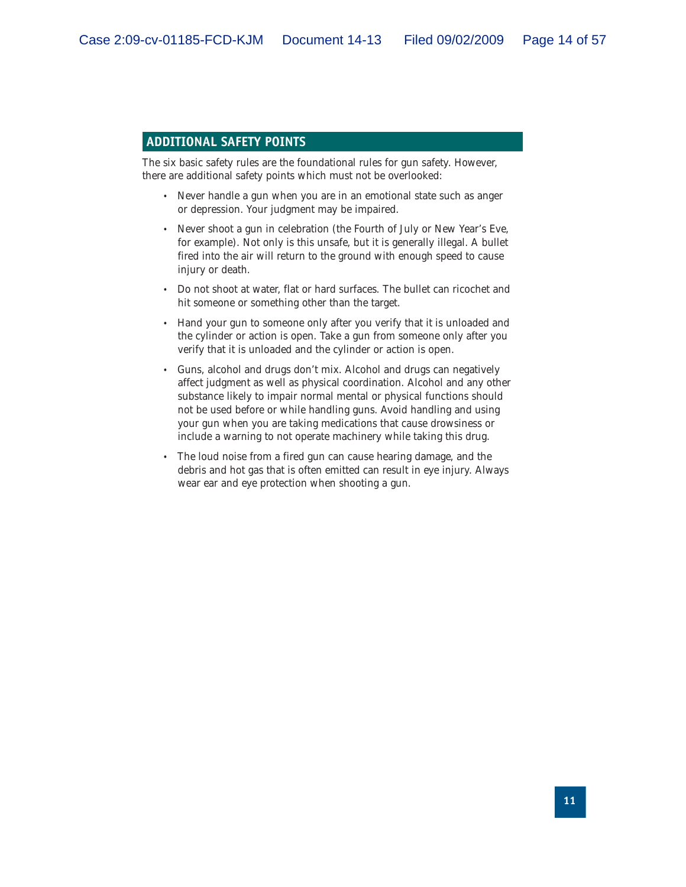#### **ADDITIONAL SAFETY POINTS**

The six basic safety rules are the foundational rules for gun safety. However, there are additional safety points which must not be overlooked:

- Never handle a gun when you are in an emotional state such as anger or depression. Your judgment may be impaired.
- Never shoot a gun in celebration (the Fourth of July or New Year's Eve, for example). Not only is this unsafe, but it is generally illegal. A bullet fired into the air will return to the ground with enough speed to cause injury or death.
- Do not shoot at water, flat or hard surfaces. The bullet can ricochet and hit someone or something other than the target.
- Hand your gun to someone only after you verify that it is unloaded and the cylinder or action is open. Take a gun from someone only after you verify that it is unloaded and the cylinder or action is open.
- Guns, alcohol and drugs don't mix. Alcohol and drugs can negatively affect judgment as well as physical coordination. Alcohol and any other substance likely to impair normal mental or physical functions should not be used before or while handling guns. Avoid handling and using your gun when you are taking medications that cause drowsiness or include a warning to not operate machinery while taking this drug.
- The loud noise from a fired gun can cause hearing damage, and the debris and hot gas that is often emitted can result in eye injury. Always wear ear and eye protection when shooting a gun.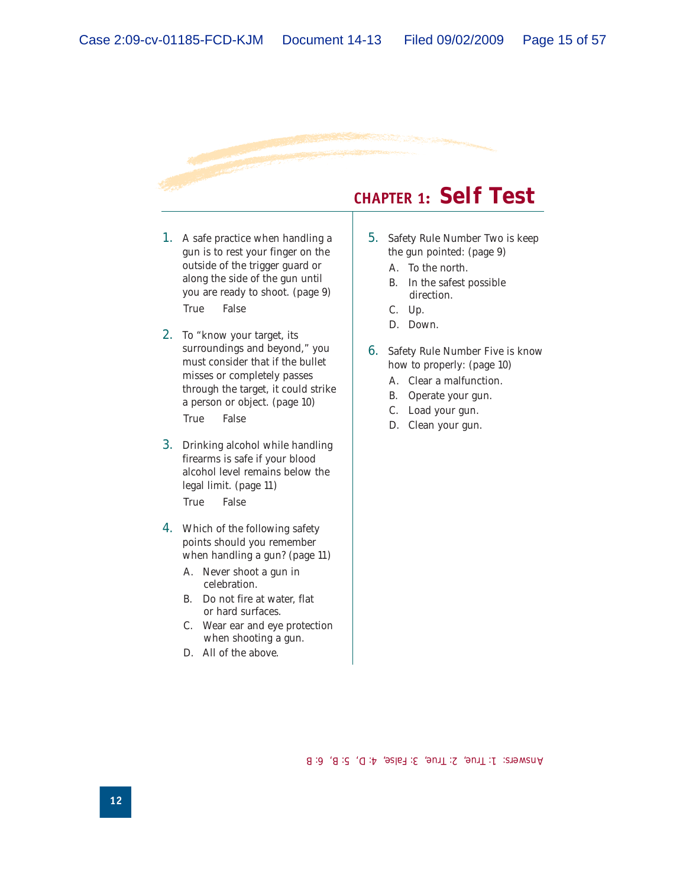### **CHAPTER 1: Self Test**

- 1. A safe practice when handling a gun is to rest your finger on the outside of the trigger guard or along the side of the gun until you are ready to shoot. (page 9) True False
- 2. To "know your target, its surroundings and beyond," you must consider that if the bullet misses or completely passes through the target, it could strike a person or object. (page 10) True False
- 3. Drinking alcohol while handling firearms is safe if your blood alcohol level remains below the legal limit. (page 11) True False
- 4. Which of the following safety points should you remember when handling a gun? (page 11)
	- A. Never shoot a gun in celebration.
	- B. Do not fire at water, flat or hard surfaces.
	- C. Wear ear and eye protection when shooting a gun.
	- D. All of the above.
- 5. Safety Rule Number Two is keep the gun pointed: (page 9)
	- A. To the north.
	- B. In the safest possible direction.
	- C. Up.
	- D. Down.
- 6. Safety Rule Number Five is know how to properly: (page 10)
	- A. Clear a malfunction.
	- B. Operate your gun.
	- C. Load your gun.
	- D. Clean your gun.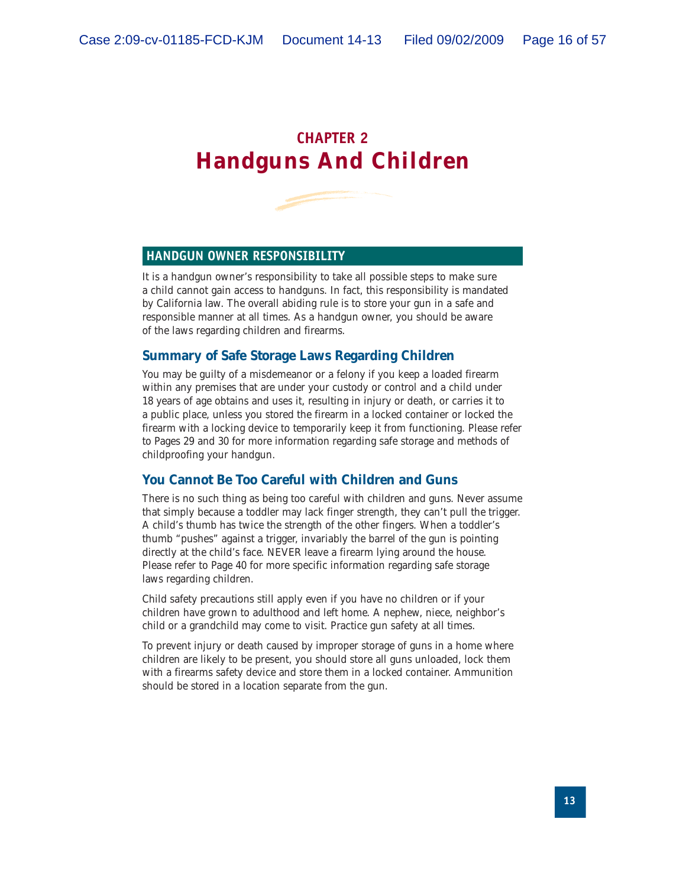### **CHAPTER 2 Handguns And Children**

#### **HANDGUN OWNER RESPONSIBILITY**

It is a handgun owner's responsibility to take all possible steps to make sure a child cannot gain access to handguns. In fact, this responsibility is mandated by California law. The overall abiding rule is to store your gun in a safe and responsible manner at all times. As a handgun owner, you should be aware of the laws regarding children and firearms.

#### **Summary of Safe Storage Laws Regarding Children**

You may be guilty of a misdemeanor or a felony if you keep a loaded firearm within any premises that are under your custody or control and a child under 18 years of age obtains and uses it, resulting in injury or death, or carries it to a public place, unless you stored the firearm in a locked container or locked the firearm with a locking device to temporarily keep it from functioning. Please refer to Pages 29 and 30 for more information regarding safe storage and methods of childproofing your handgun.

#### **You Cannot Be Too Careful with Children and Guns**

There is no such thing as being too careful with children and guns. Never assume that simply because a toddler may lack finger strength, they can't pull the trigger. A child's thumb has twice the strength of the other fingers. When a toddler's thumb "pushes" against a trigger, invariably the barrel of the gun is pointing directly at the child's face. NEVER leave a firearm lying around the house. Please refer to Page 40 for more specific information regarding safe storage laws regarding children.

Child safety precautions still apply even if you have no children or if your children have grown to adulthood and left home. A nephew, niece, neighbor's child or a grandchild may come to visit. Practice gun safety at all times.

To prevent injury or death caused by improper storage of guns in a home where children are likely to be present, you should store all guns unloaded, lock them with a firearms safety device and store them in a locked container. Ammunition should be stored in a location separate from the gun.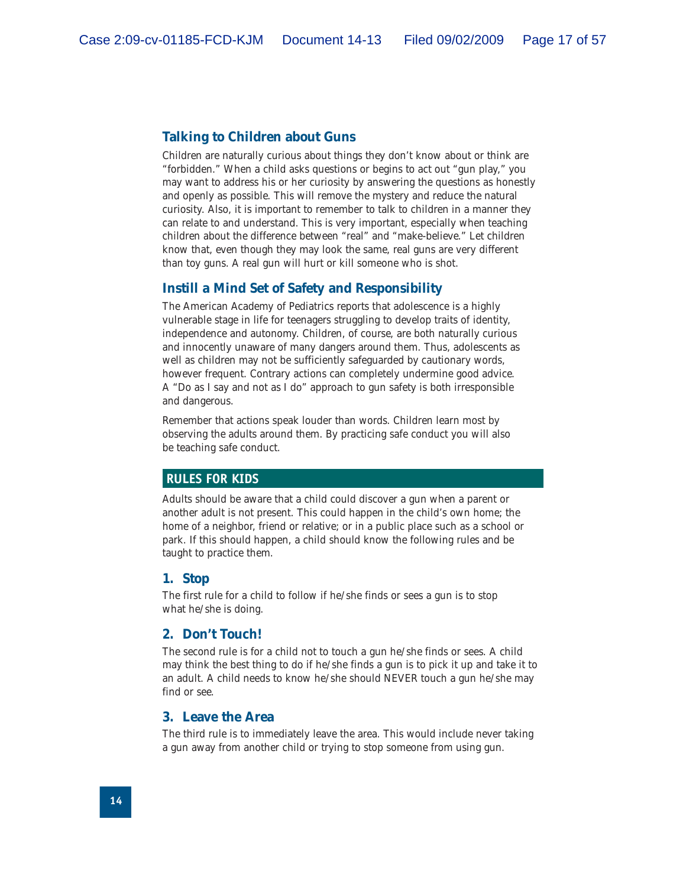#### **Talking to Children about Guns**

Children are naturally curious about things they don't know about or think are "forbidden." When a child asks questions or begins to act out "gun play," you may want to address his or her curiosity by answering the questions as honestly and openly as possible. This will remove the mystery and reduce the natural curiosity. Also, it is important to remember to talk to children in a manner they can relate to and understand. This is very important, especially when teaching children about the difference between "real" and "make-believe." Let children know that, even though they may look the same, real guns are very different than toy guns. A real gun will hurt or kill someone who is shot.

#### **Instill a Mind Set of Safety and Responsibility**

The American Academy of Pediatrics reports that adolescence is a highly vulnerable stage in life for teenagers struggling to develop traits of identity, independence and autonomy. Children, of course, are both naturally curious and innocently unaware of many dangers around them. Thus, adolescents as well as children may not be sufficiently safeguarded by cautionary words, however frequent. Contrary actions can completely undermine good advice. A "Do as I say and not as I do" approach to gun safety is both irresponsible and dangerous.

Remember that actions speak louder than words. Children learn most by observing the adults around them. By practicing safe conduct you will also be teaching safe conduct.

#### **RULES FOR KIDS**

Adults should be aware that a child could discover a gun when a parent or another adult is not present. This could happen in the child's own home; the home of a neighbor, friend or relative; or in a public place such as a school or park. If this should happen, a child should know the following rules and be taught to practice them.

#### **1. Stop**

The first rule for a child to follow if he/she finds or sees a gun is to stop what he/she is doing.

#### **2. Don't Touch!**

The second rule is for a child not to touch a gun he/she finds or sees. A child may think the best thing to do if he/she finds a gun is to pick it up and take it to an adult. A child needs to know he/she should NEVER touch a gun he/she may find or see.

#### **3. Leave the Area**

The third rule is to immediately leave the area. This would include never taking a gun away from another child or trying to stop someone from using gun.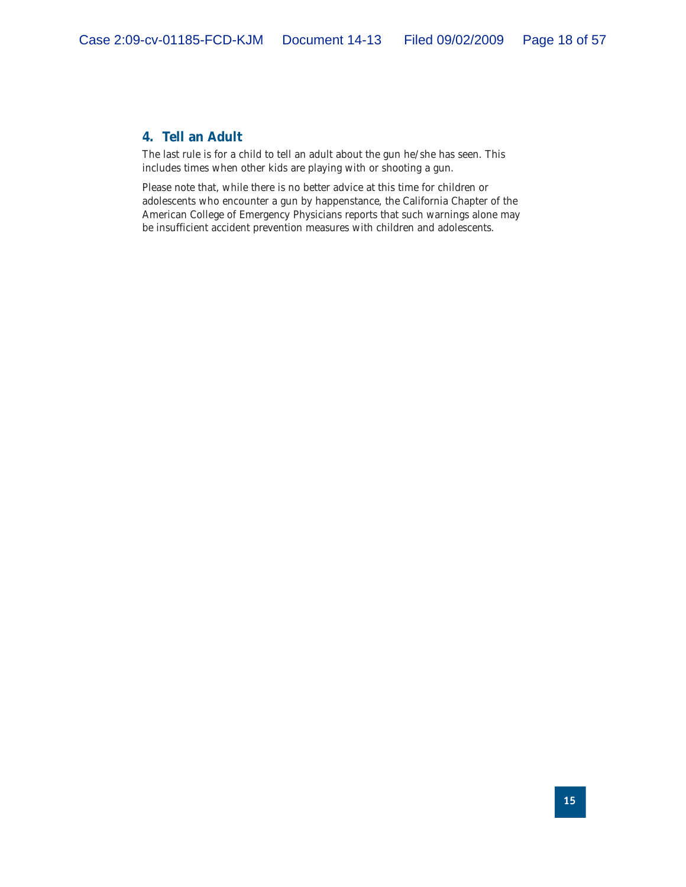#### **4. Tell an Adult**

The last rule is for a child to tell an adult about the gun he/she has seen. This includes times when other kids are playing with or shooting a gun.

Please note that, while there is no better advice at this time for children or adolescents who encounter a gun by happenstance, the California Chapter of the American College of Emergency Physicians reports that such warnings alone may be insufficient accident prevention measures with children and adolescents.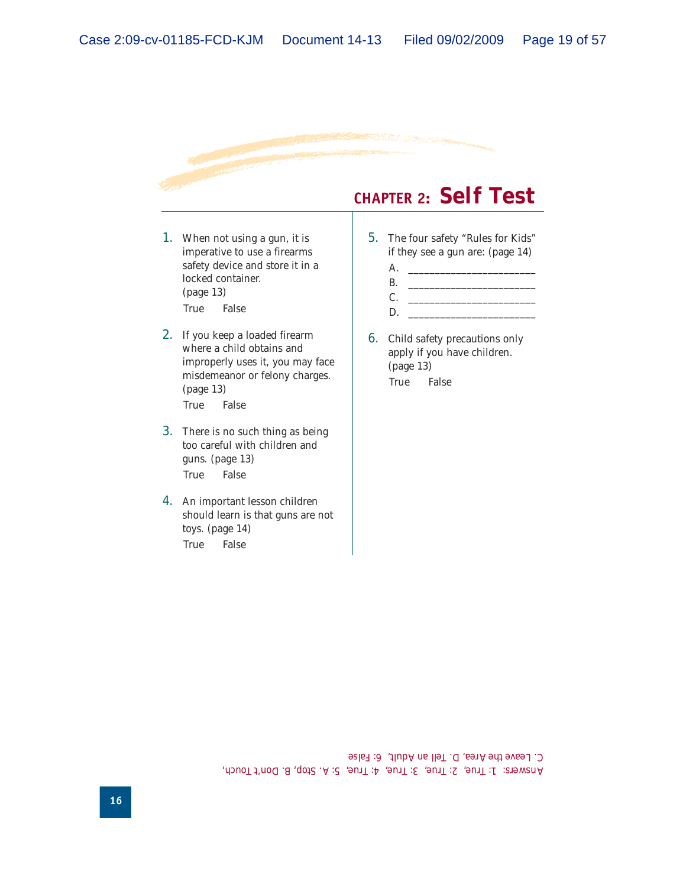### **CHAPTER 2: Self Test**

- 1. When not using a gun, it is imperative to use a firearms safety device and store it in a locked container. (page 13) True False
- 2. If you keep a loaded firearm where a child obtains and improperly uses it, you may face misdemeanor or felony charges. (page 13) True False
- 3. There is no such thing as being too careful with children and guns. (page 13) True False
- 4. An important lesson children should learn is that guns are not toys. (page 14) True False
- 5. The four safety "Rules for Kids" if they see a gun are: (page 14)
	- $A.$
	- B. \_\_\_\_\_\_\_\_\_\_\_\_\_\_\_\_\_\_\_\_\_\_\_\_
	- $C.$
	- $D.$
- 6. Child safety precautions only apply if you have children. (page 13)

True False

Answers: 1: True, 2: True, 3: True, 4: True, 5: A. Stop, B. Don't Touch, C. Leave the Area, D. Tell an Adult, 6: False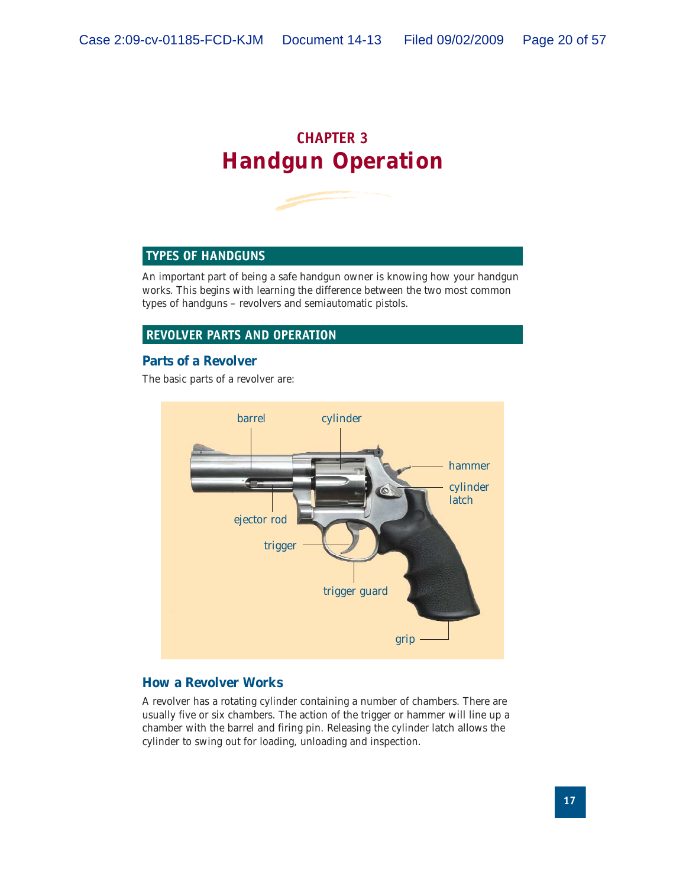### **CHAPTER 3 Handgun Operation**



#### **TYPES OF HANDGUNS**

An important part of being a safe handgun owner is knowing how your handgun works. This begins with learning the difference between the two most common types of handguns – revolvers and semiautomatic pistols.

#### **REVOLVER PARTS AND OPERATION**

#### **Parts of a Revolver**

The basic parts of a revolver are:



#### **How a Revolver Works**

A revolver has a rotating cylinder containing a number of chambers. There are usually five or six chambers. The action of the trigger or hammer will line up a chamber with the barrel and firing pin. Releasing the cylinder latch allows the cylinder to swing out for loading, unloading and inspection.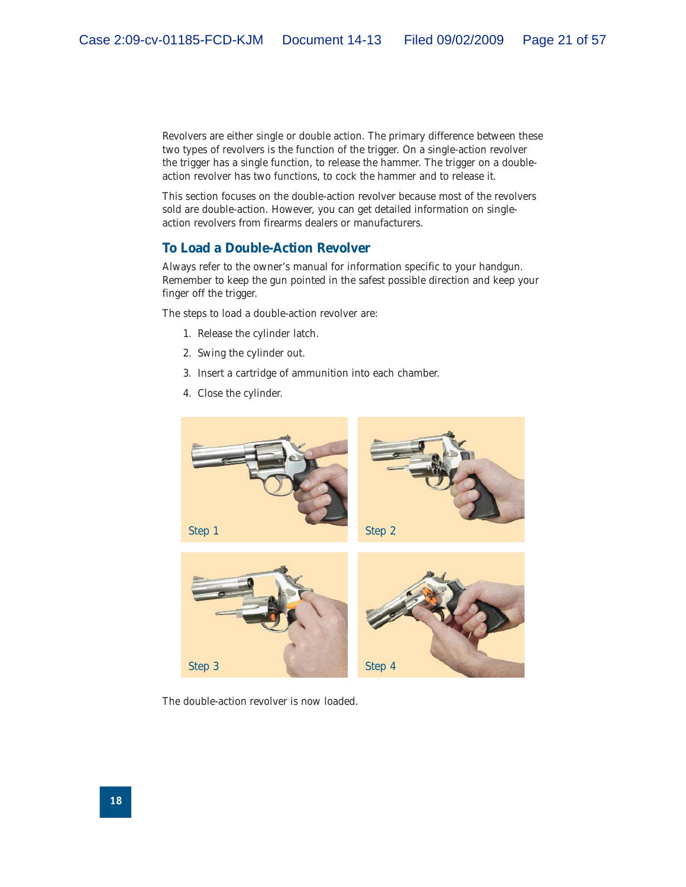Revolvers are either single or double action. The primary difference between these two types of revolvers is the function of the trigger. On a single-action revolver the trigger has a single function, to release the hammer. The trigger on a doubleaction revolver has two functions, to cock the hammer and to release it.

This section focuses on the double-action revolver because most of the revolvers sold are double-action. However, you can get detailed information on singleaction revolvers from firearms dealers or manufacturers.

#### **To Load a Double-Action Revolver**

Always refer to the owner's manual for information specific to your handgun. Remember to keep the gun pointed in the safest possible direction and keep your finger off the trigger.

The steps to load a double-action revolver are:

- 1. Release the cylinder latch.
- 2. Swing the cylinder out.
- 3. Insert a cartridge of ammunition into each chamber.
- 4. Close the cylinder.











The double-action revolver is now loaded.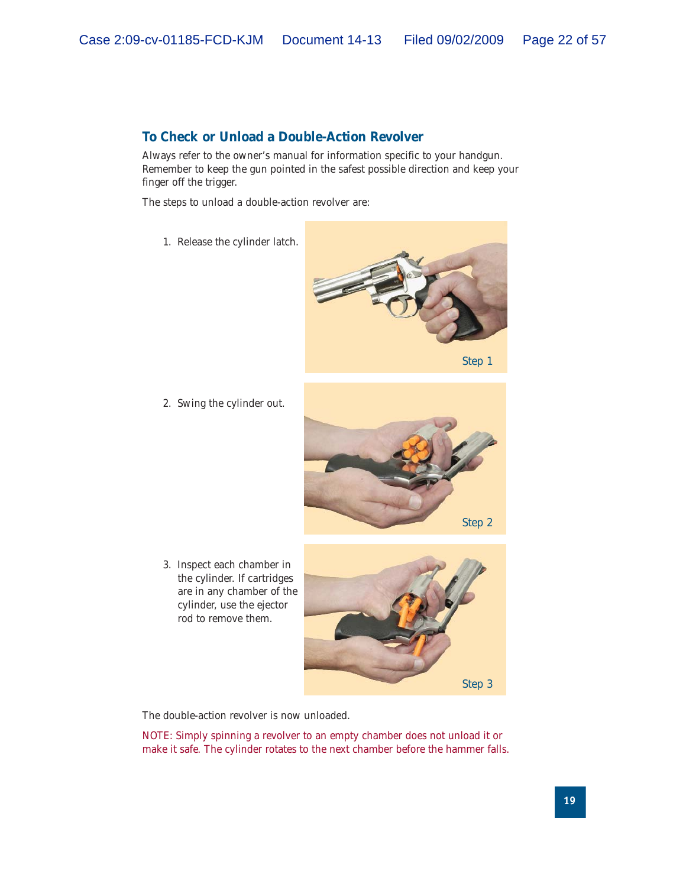#### **To Check or Unload a Double-Action Revolver**

Always refer to the owner's manual for information specific to your handgun. Remember to keep the gun pointed in the safest possible direction and keep your finger off the trigger.

The steps to unload a double-action revolver are:

1. Release the cylinder latch.



2. Swing the cylinder out.



3. Inspect each chamber in the cylinder. If cartridges are in any chamber of the cylinder, use the ejector rod to remove them.



The double-action revolver is now unloaded.

NOTE: Simply spinning a revolver to an empty chamber does not unload it or make it safe. The cylinder rotates to the next chamber before the hammer falls.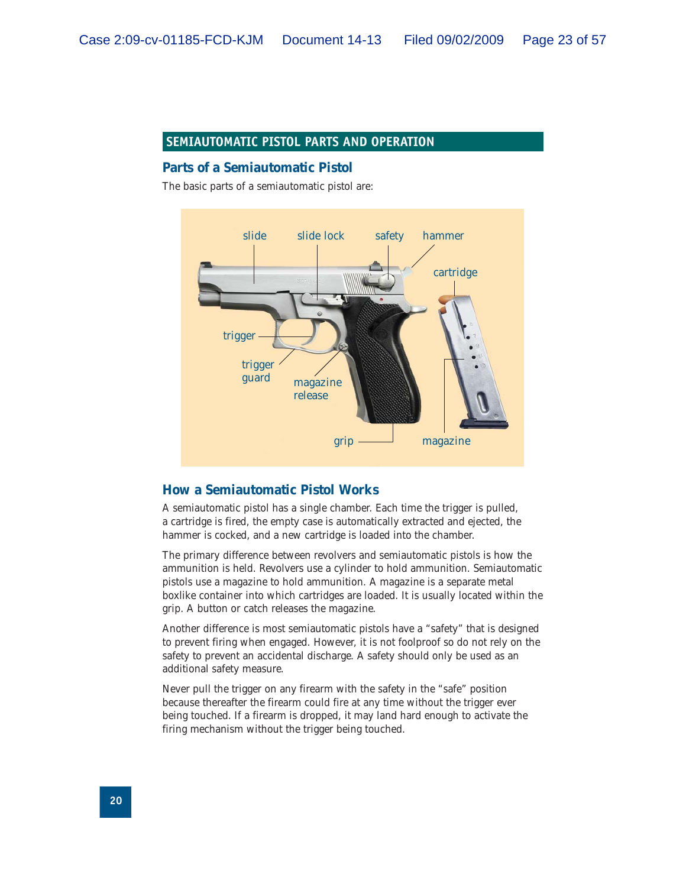#### **SEMIAUTOMATIC PISTOL PARTS AND OPERATION**

#### **Parts of a Semiautomatic Pistol**

The basic parts of a semiautomatic pistol are:



#### **How a Semiautomatic Pistol Works**

A semiautomatic pistol has a single chamber. Each time the trigger is pulled, a cartridge is fired, the empty case is automatically extracted and ejected, the hammer is cocked, and a new cartridge is loaded into the chamber.

The primary difference between revolvers and semiautomatic pistols is how the ammunition is held. Revolvers use a cylinder to hold ammunition. Semiautomatic pistols use a magazine to hold ammunition. A magazine is a separate metal boxlike container into which cartridges are loaded. It is usually located within the grip. A button or catch releases the magazine.

Another difference is most semiautomatic pistols have a "safety" that is designed to prevent firing when engaged. However, it is not foolproof so do not rely on the safety to prevent an accidental discharge. A safety should only be used as an additional safety measure.

Never pull the trigger on any firearm with the safety in the "safe" position because thereafter the firearm could fire at any time without the trigger ever being touched. If a firearm is dropped, it may land hard enough to activate the firing mechanism without the trigger being touched.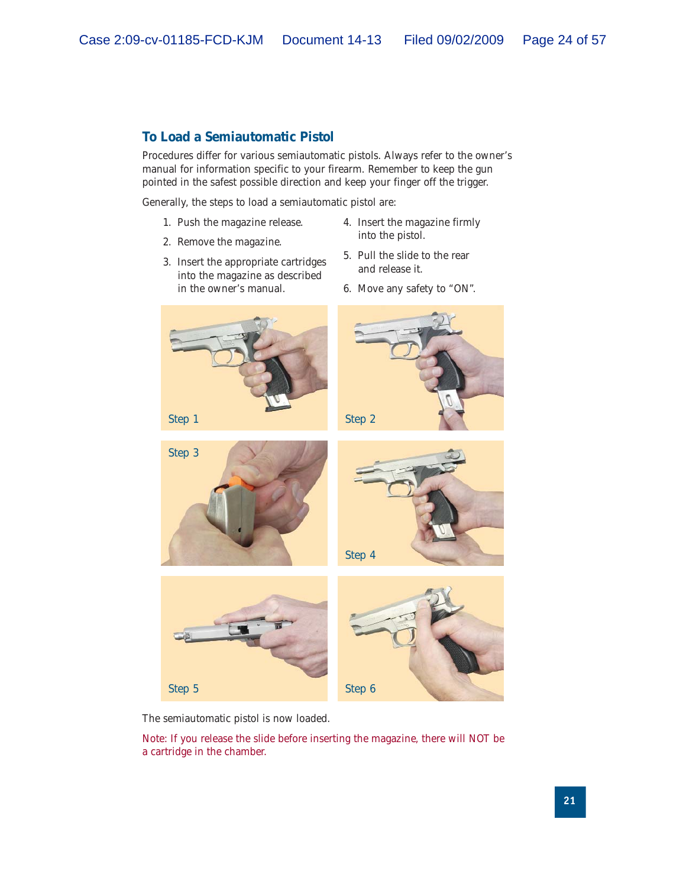#### **To Load a Semiautomatic Pistol**

Procedures differ for various semiautomatic pistols. Always refer to the owner's manual for information specific to your firearm. Remember to keep the gun pointed in the safest possible direction and keep your finger off the trigger.

Generally, the steps to load a semiautomatic pistol are:

- 1. Push the magazine release.
- 2. Remove the magazine.
- 3. Insert the appropriate cartridges into the magazine as described in the owner's manual.
- 4. Insert the magazine firmly into the pistol.
- 5. Pull the slide to the rear and release it.
- 6. Move any safety to "ON".













The semiautomatic pistol is now loaded.

Note: If you release the slide before inserting the magazine, there will NOT be a cartridge in the chamber.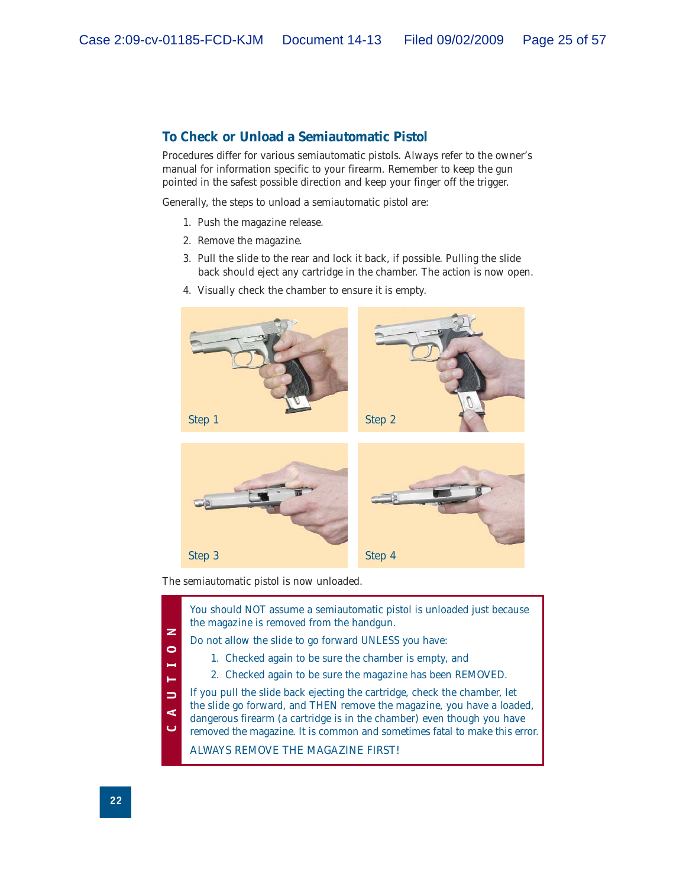#### **To Check or Unload a Semiautomatic Pistol**

Procedures differ for various semiautomatic pistols. Always refer to the owner's manual for information specific to your firearm. Remember to keep the gun pointed in the safest possible direction and keep your finger off the trigger.

Generally, the steps to unload a semiautomatic pistol are:

- 1. Push the magazine release.
- 2. Remove the magazine.
- 3. Pull the slide to the rear and lock it back, if possible. Pulling the slide back should eject any cartridge in the chamber. The action is now open.
- 4. Visually check the chamber to ensure it is empty.









**CAUTION**

 $\Rightarrow$  $\mathbf{R}$  $\mathbf{\mathsf{C}}$ 

 $\mathbf{z}$  $\bullet$ 



The semiautomatic pistol is now unloaded.

You should NOT assume a semiautomatic pistol is unloaded just because the magazine is removed from the handgun.

Do not allow the slide to go forward UNLESS you have:

- 1. Checked again to be sure the chamber is empty, and
- 2. Checked again to be sure the magazine has been REMOVED.

If you pull the slide back ejecting the cartridge, check the chamber, let the slide go forward, and THEN remove the magazine, you have a loaded, dangerous firearm (a cartridge is in the chamber) even though you have removed the magazine. It is common and sometimes fatal to make this error.

ALWAYS REMOVE THE MAGAZINE FIRST!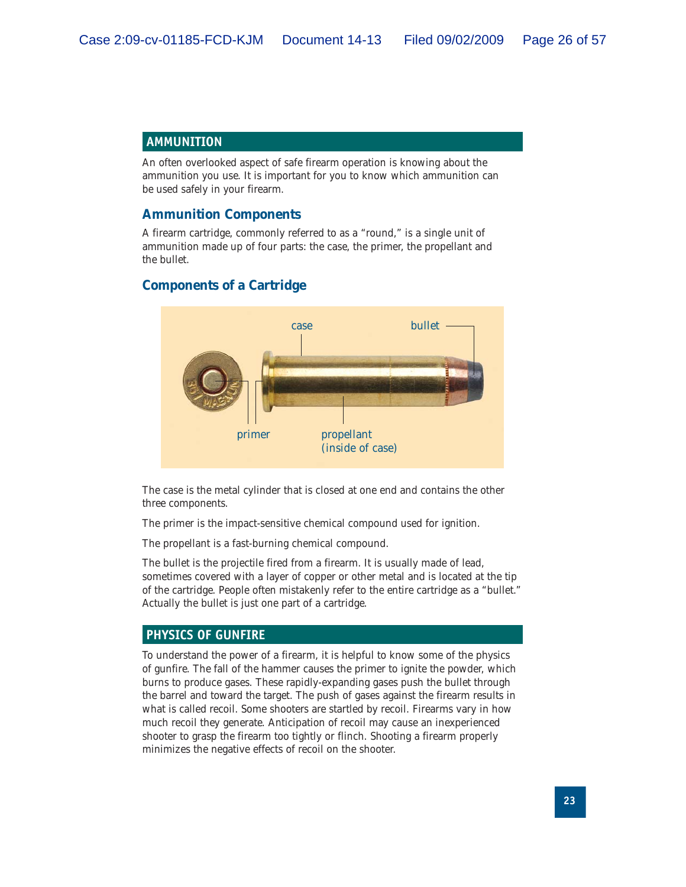#### **AMMUNITION**

An often overlooked aspect of safe firearm operation is knowing about the ammunition you use. It is important for you to know which ammunition can be used safely in your firearm.

#### **Ammunition Components**

A firearm cartridge, commonly referred to as a "round," is a single unit of ammunition made up of four parts: the case, the primer, the propellant and the bullet.

#### **Components of a Cartridge**



The case is the metal cylinder that is closed at one end and contains the other three components.

The primer is the impact-sensitive chemical compound used for ignition.

The propellant is a fast-burning chemical compound.

The bullet is the projectile fired from a firearm. It is usually made of lead, sometimes covered with a layer of copper or other metal and is located at the tip of the cartridge. People often mistakenly refer to the entire cartridge as a "bullet." Actually the bullet is just one part of a cartridge.

#### **PHYSICS OF GUNFIRE**

To understand the power of a firearm, it is helpful to know some of the physics of gunfire. The fall of the hammer causes the primer to ignite the powder, which burns to produce gases. These rapidly-expanding gases push the bullet through the barrel and toward the target. The push of gases against the firearm results in what is called recoil. Some shooters are startled by recoil. Firearms vary in how much recoil they generate. Anticipation of recoil may cause an inexperienced shooter to grasp the firearm too tightly or flinch. Shooting a firearm properly minimizes the negative effects of recoil on the shooter.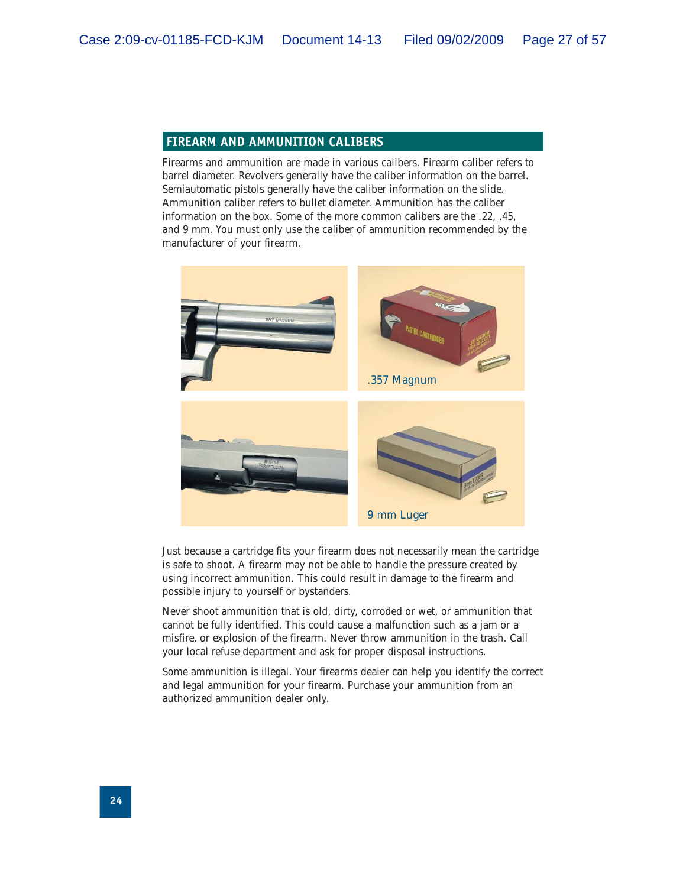#### **FIREARM AND AMMUNITION CALIBERS**

Firearms and ammunition are made in various calibers. Firearm caliber refers to barrel diameter. Revolvers generally have the caliber information on the barrel. Semiautomatic pistols generally have the caliber information on the slide. Ammunition caliber refers to bullet diameter. Ammunition has the caliber information on the box. Some of the more common calibers are the .22, .45, and 9 mm. You must only use the caliber of ammunition recommended by the manufacturer of your firearm.



Just because a cartridge fits your firearm does not necessarily mean the cartridge is safe to shoot. A firearm may not be able to handle the pressure created by using incorrect ammunition. This could result in damage to the firearm and possible injury to yourself or bystanders.

Never shoot ammunition that is old, dirty, corroded or wet, or ammunition that cannot be fully identified. This could cause a malfunction such as a jam or a misfire, or explosion of the firearm. Never throw ammunition in the trash. Call your local refuse department and ask for proper disposal instructions.

Some ammunition is illegal. Your firearms dealer can help you identify the correct and legal ammunition for your firearm. Purchase your ammunition from an authorized ammunition dealer only.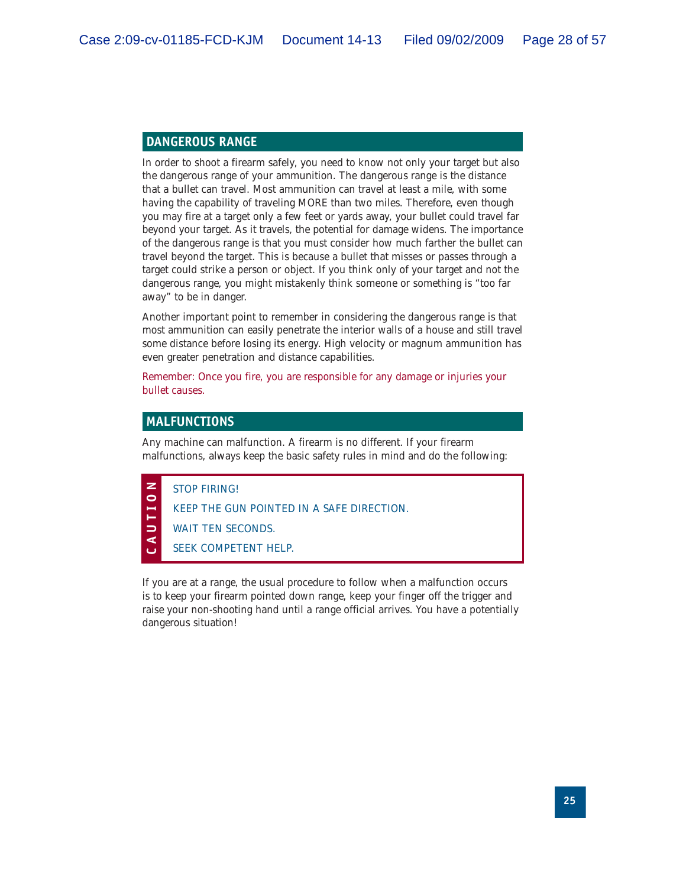#### **DANGEROUS RANGE**

In order to shoot a firearm safely, you need to know not only your target but also the dangerous range of your ammunition. The dangerous range is the distance that a bullet can travel. Most ammunition can travel at least a mile, with some having the capability of traveling MORE than two miles. Therefore, even though you may fire at a target only a few feet or yards away, your bullet could travel far beyond your target. As it travels, the potential for damage widens. The importance of the dangerous range is that you must consider how much farther the bullet can travel beyond the target. This is because a bullet that misses or passes through a target could strike a person or object. If you think only of your target and not the dangerous range, you might mistakenly think someone or something is "too far away" to be in danger.

Another important point to remember in considering the dangerous range is that most ammunition can easily penetrate the interior walls of a house and still travel some distance before losing its energy. High velocity or magnum ammunition has even greater penetration and distance capabilities.

Remember: Once you fire, you are responsible for any damage or injuries your bullet causes.

#### **MALFUNCTIONS**

Any machine can malfunction. A firearm is no different. If your firearm malfunctions, always keep the basic safety rules in mind and do the following:

z **CAUTION** STOP FIRING!  $\bullet$ KEEP THE GUN POINTED IN A SAFE DIRECTION.  $\Rightarrow$ WAIT TEN SECONDS. ⋖ SEEK COMPETENT HELP.

If you are at a range, the usual procedure to follow when a malfunction occurs is to keep your firearm pointed down range, keep your finger off the trigger and raise your non-shooting hand until a range official arrives. You have a potentially dangerous situation!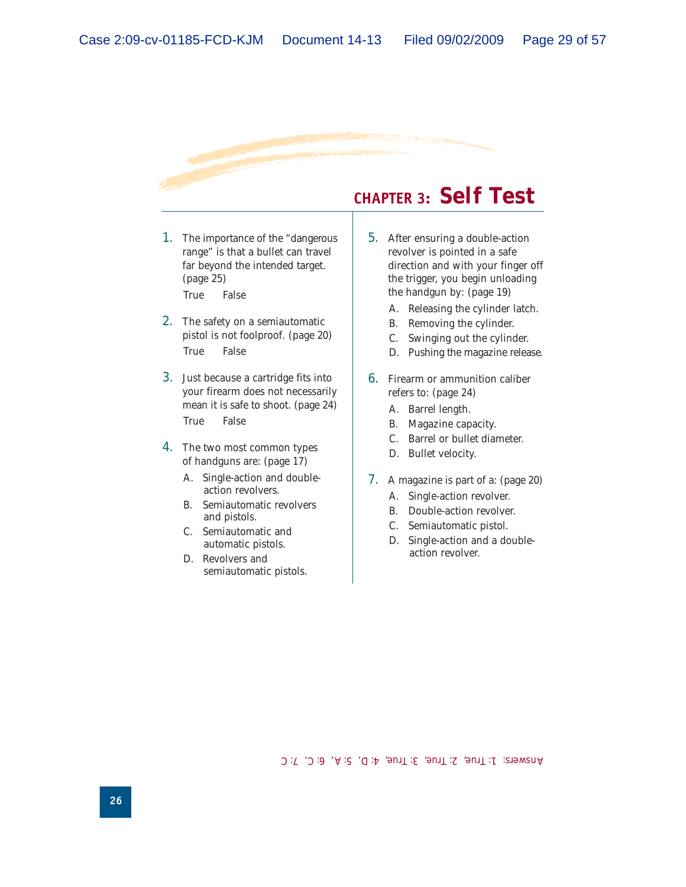### **CHAPTER 3: Self Test**

- 1. The importance of the "dangerous range" is that a bullet can travel far beyond the intended target. (page 25) True False
- 2. The safety on a semiautomatic pistol is not foolproof. (page 20) True False
- 3. Just because a cartridge fits into your firearm does not necessarily mean it is safe to shoot. (page 24) True False
- 4. The two most common types of handguns are: (page 17)
	- A. Single-action and doubleaction revolvers.
	- B. Semiautomatic revolvers and pistols.
	- C. Semiautomatic and automatic pistols.
	- D. Revolvers and semiautomatic pistols.
- 5. After ensuring a double-action revolver is pointed in a safe direction and with your finger off the trigger, you begin unloading the handgun by: (page 19)
	- A. Releasing the cylinder latch.
	- B. Removing the cylinder.
	- C. Swinging out the cylinder.
	- D. Pushing the magazine release.
- 6. Firearm or ammunition caliber refers to: (page 24)
	- A. Barrel length.
	- B. Magazine capacity.
	- C. Barrel or bullet diameter.
	- D. Bullet velocity.
- 7. A magazine is part of a: (page 20)
	- A. Single-action revolver.
	- B. Double-action revolver.
	- C. Semiautomatic pistol.
	- D. Single-action and a doubleaction revolver.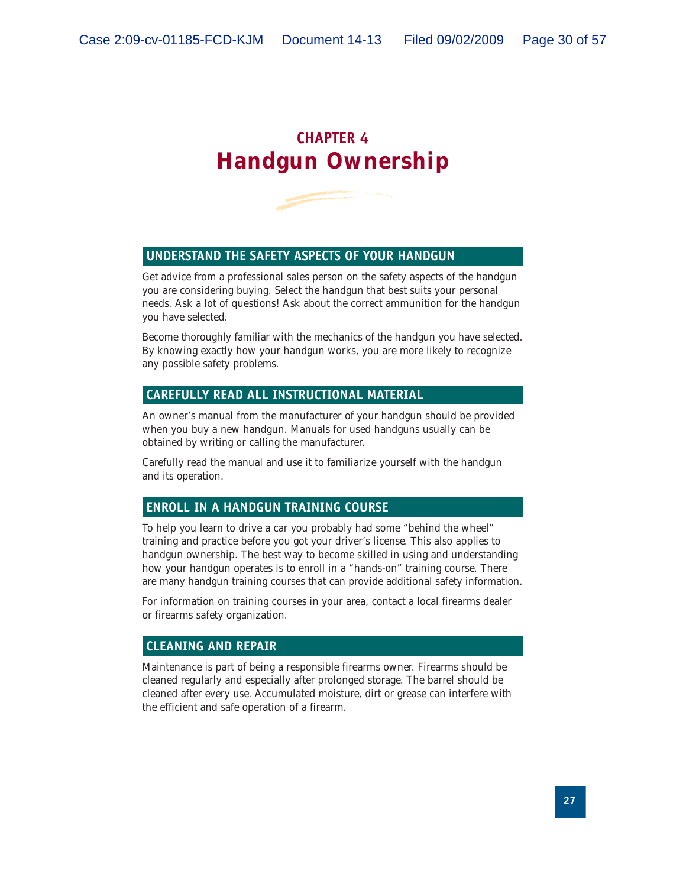### **CHAPTER 4 Handgun Ownership**



Get advice from a professional sales person on the safety aspects of the handgun you are considering buying. Select the handgun that best suits your personal needs. Ask a lot of questions! Ask about the correct ammunition for the handgun you have selected.

Become thoroughly familiar with the mechanics of the handgun you have selected. By knowing exactly how your handgun works, you are more likely to recognize any possible safety problems.

#### **CAREFULLY READ ALL INSTRUCTIONAL MATERIAL**

An owner's manual from the manufacturer of your handgun should be provided when you buy a new handgun. Manuals for used handguns usually can be obtained by writing or calling the manufacturer.

Carefully read the manual and use it to familiarize yourself with the handgun and its operation.

#### **ENROLL IN A HANDGUN TRAINING COURSE**

To help you learn to drive a car you probably had some "behind the wheel" training and practice before you got your driver's license. This also applies to handgun ownership. The best way to become skilled in using and understanding how your handgun operates is to enroll in a "hands-on" training course. There are many handgun training courses that can provide additional safety information.

For information on training courses in your area, contact a local firearms dealer or firearms safety organization.

#### **CLEANING AND REPAIR**

Maintenance is part of being a responsible firearms owner. Firearms should be cleaned regularly and especially after prolonged storage. The barrel should be cleaned after every use. Accumulated moisture, dirt or grease can interfere with the efficient and safe operation of a firearm.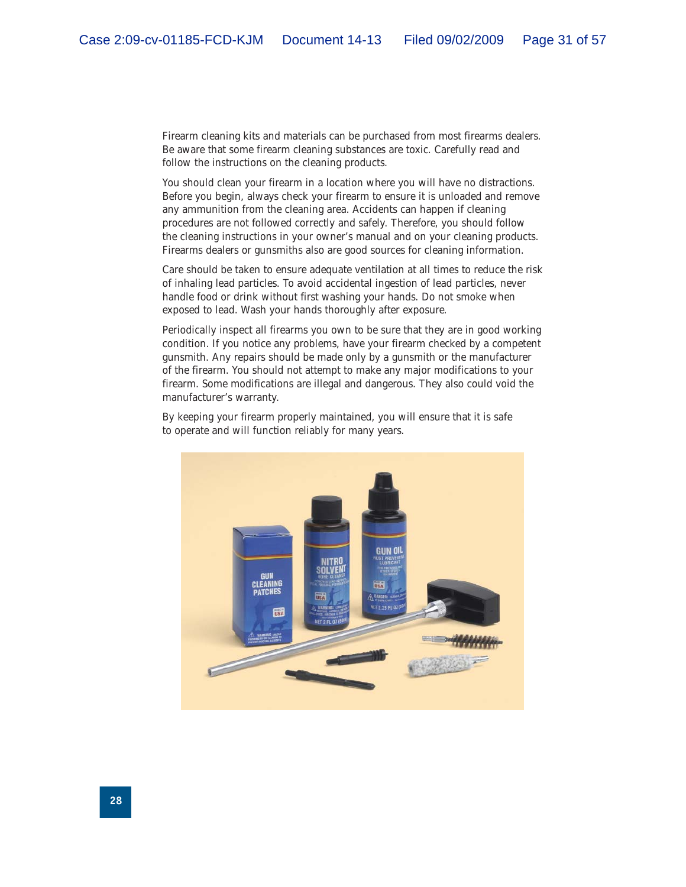Firearm cleaning kits and materials can be purchased from most firearms dealers. Be aware that some firearm cleaning substances are toxic. Carefully read and follow the instructions on the cleaning products.

You should clean your firearm in a location where you will have no distractions. Before you begin, always check your firearm to ensure it is unloaded and remove any ammunition from the cleaning area. Accidents can happen if cleaning procedures are not followed correctly and safely. Therefore, you should follow the cleaning instructions in your owner's manual and on your cleaning products. Firearms dealers or gunsmiths also are good sources for cleaning information.

Care should be taken to ensure adequate ventilation at all times to reduce the risk of inhaling lead particles. To avoid accidental ingestion of lead particles, never handle food or drink without first washing your hands. Do not smoke when exposed to lead. Wash your hands thoroughly after exposure.

Periodically inspect all firearms you own to be sure that they are in good working condition. If you notice any problems, have your firearm checked by a competent gunsmith. Any repairs should be made only by a gunsmith or the manufacturer of the firearm. You should not attempt to make any major modifications to your firearm. Some modifications are illegal and dangerous. They also could void the manufacturer's warranty.

By keeping your firearm properly maintained, you will ensure that it is safe to operate and will function reliably for many years.

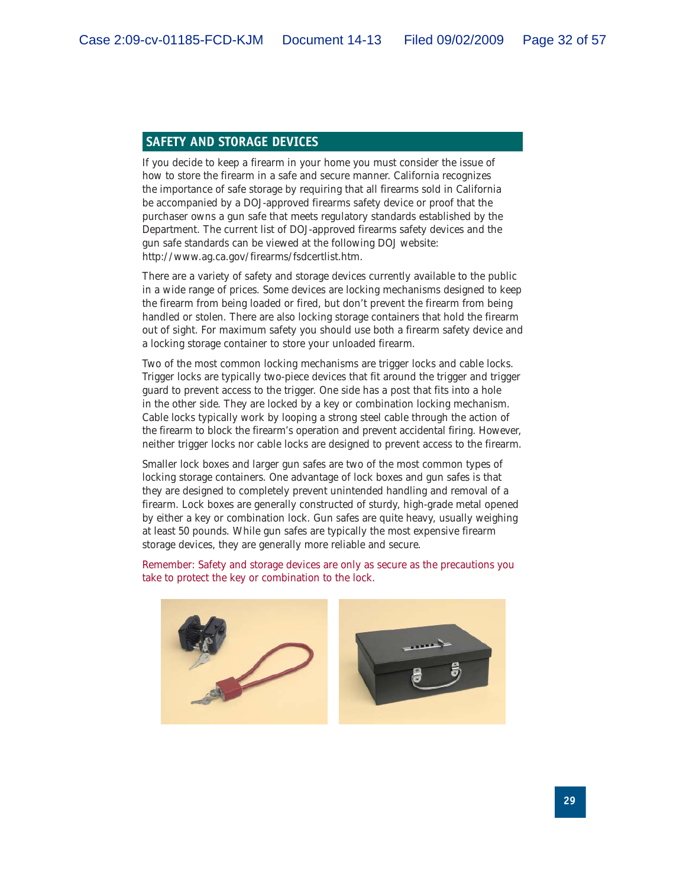#### **SAFETY AND STORAGE DEVICES**

If you decide to keep a firearm in your home you must consider the issue of how to store the firearm in a safe and secure manner. California recognizes the importance of safe storage by requiring that all firearms sold in California be accompanied by a DOJ-approved firearms safety device or proof that the purchaser owns a gun safe that meets regulatory standards established by the Department. The current list of DOJ-approved firearms safety devices and the gun safe standards can be viewed at the following DOJ website: http://www.ag.ca.gov/firearms/fsdcertlist.htm.

There are a variety of safety and storage devices currently available to the public in a wide range of prices. Some devices are locking mechanisms designed to keep the firearm from being loaded or fired, but don't prevent the firearm from being handled or stolen. There are also locking storage containers that hold the firearm out of sight. For maximum safety you should use both a firearm safety device and a locking storage container to store your unloaded firearm.

Two of the most common locking mechanisms are trigger locks and cable locks. Trigger locks are typically two-piece devices that fit around the trigger and trigger guard to prevent access to the trigger. One side has a post that fits into a hole in the other side. They are locked by a key or combination locking mechanism. Cable locks typically work by looping a strong steel cable through the action of the firearm to block the firearm's operation and prevent accidental firing. However, neither trigger locks nor cable locks are designed to prevent access to the firearm.

Smaller lock boxes and larger gun safes are two of the most common types of locking storage containers. One advantage of lock boxes and gun safes is that they are designed to completely prevent unintended handling and removal of a firearm. Lock boxes are generally constructed of sturdy, high-grade metal opened by either a key or combination lock. Gun safes are quite heavy, usually weighing at least 50 pounds. While gun safes are typically the most expensive firearm storage devices, they are generally more reliable and secure.

Remember: Safety and storage devices are only as secure as the precautions you take to protect the key or combination to the lock.

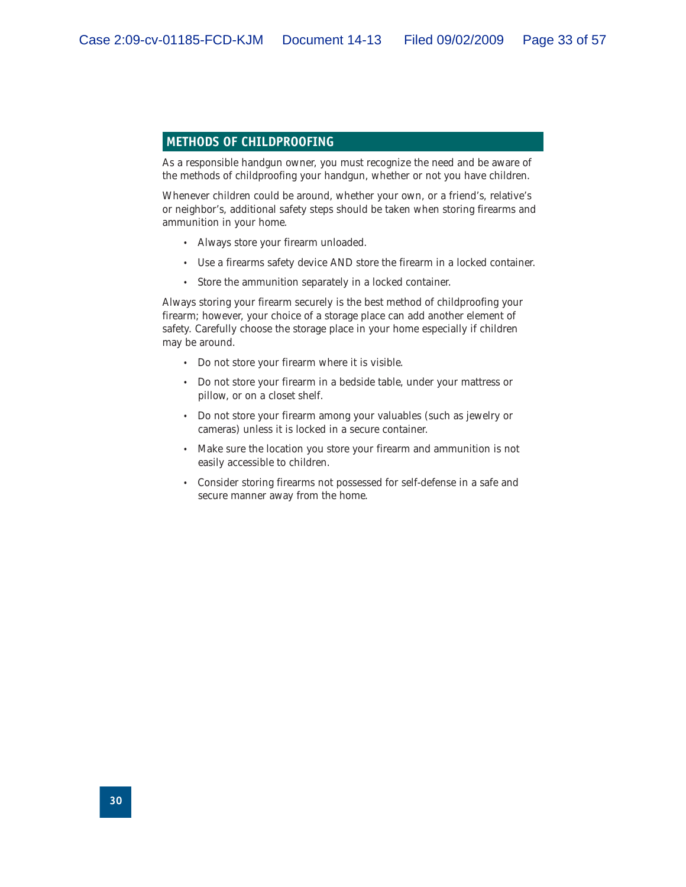#### **METHODS OF CHILDPROOFING**

As a responsible handgun owner, you must recognize the need and be aware of the methods of childproofing your handgun, whether or not you have children.

Whenever children could be around, whether your own, or a friend's, relative's or neighbor's, additional safety steps should be taken when storing firearms and ammunition in your home.

- Always store your firearm unloaded.
- Use a firearms safety device AND store the firearm in a locked container.
- Store the ammunition separately in a locked container.

Always storing your firearm securely is the best method of childproofing your firearm; however, your choice of a storage place can add another element of safety. Carefully choose the storage place in your home especially if children may be around.

- Do not store your firearm where it is visible.
- Do not store your firearm in a bedside table, under your mattress or pillow, or on a closet shelf.
- Do not store your firearm among your valuables (such as jewelry or cameras) unless it is locked in a secure container.
- Make sure the location you store your firearm and ammunition is not easily accessible to children.
- Consider storing firearms not possessed for self-defense in a safe and secure manner away from the home.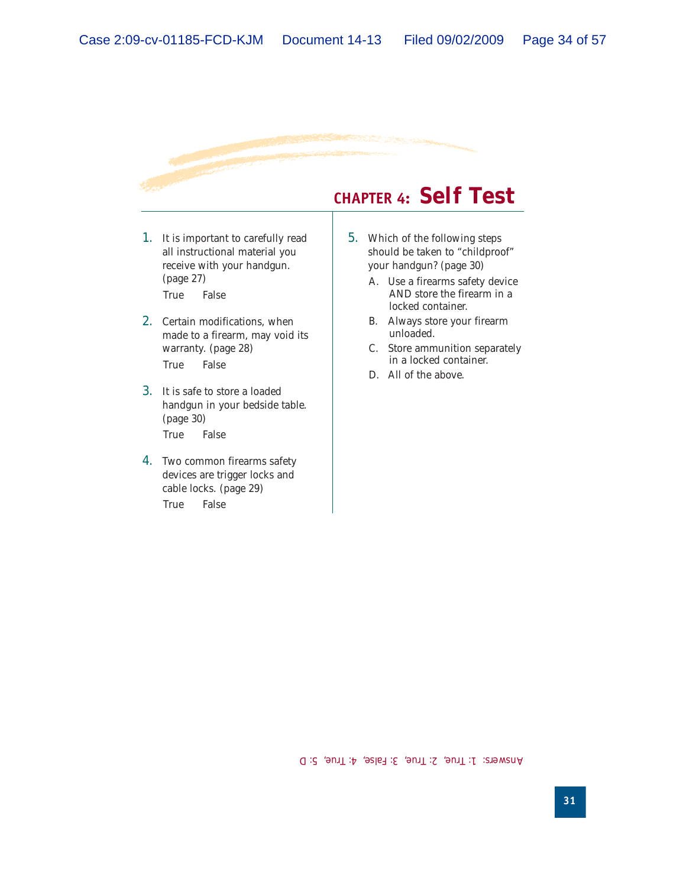### **CHAPTER 4: Self Test**

- 1. It is important to carefully read all instructional material you receive with your handgun. (page 27) True False
- 2. Certain modifications, when made to a firearm, may void its warranty. (page 28) True False
- 3. It is safe to store a loaded handgun in your bedside table. (page 30) True False
- 4. Two common firearms safety devices are trigger locks and cable locks. (page 29) True False
- 5. Which of the following steps should be taken to "childproof" your handgun? (page 30)
	- A. Use a firearms safety device AND store the firearm in a locked container.
	- B. Always store your firearm unloaded.
	- C. Store ammunition separately in a locked container.
	- D. All of the above.

Answers: 1: True, 2: True, 3: False, 4: True, 5: D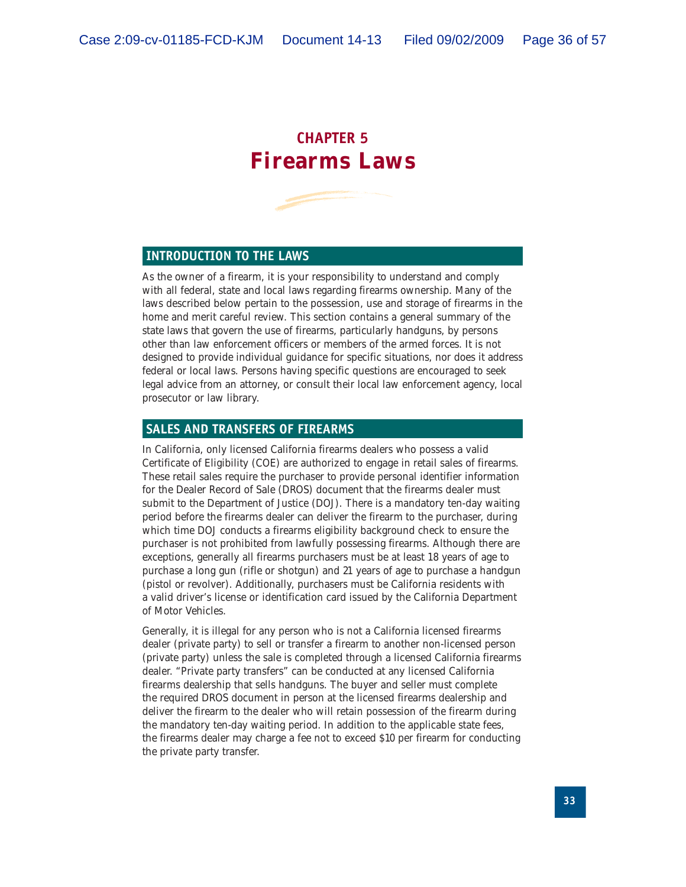### **CHAPTER 5 Firearms Laws**

#### **INTRODUCTION TO THE LAWS**

As the owner of a firearm, it is your responsibility to understand and comply with all federal, state and local laws regarding firearms ownership. Many of the laws described below pertain to the possession, use and storage of firearms in the home and merit careful review. This section contains a general summary of the state laws that govern the use of firearms, particularly handguns, by persons other than law enforcement officers or members of the armed forces. It is not designed to provide individual guidance for specific situations, nor does it address federal or local laws. Persons having specific questions are encouraged to seek legal advice from an attorney, or consult their local law enforcement agency, local prosecutor or law library.

#### **SALES AND TRANSFERS OF FIREARMS**

In California, only licensed California firearms dealers who possess a valid Certificate of Eligibility (COE) are authorized to engage in retail sales of firearms. These retail sales require the purchaser to provide personal identifier information for the Dealer Record of Sale (DROS) document that the firearms dealer must submit to the Department of Justice (DOJ). There is a mandatory ten-day waiting period before the firearms dealer can deliver the firearm to the purchaser, during which time DOJ conducts a firearms eligibility background check to ensure the purchaser is not prohibited from lawfully possessing firearms. Although there are exceptions, generally all firearms purchasers must be at least 18 years of age to purchase a long gun (rifle or shotgun) and 21 years of age to purchase a handgun (pistol or revolver). Additionally, purchasers must be California residents with a valid driver's license or identification card issued by the California Department of Motor Vehicles.

Generally, it is illegal for any person who is not a California licensed firearms dealer (private party) to sell or transfer a firearm to another non-licensed person (private party) unless the sale is completed through a licensed California firearms dealer. "Private party transfers" can be conducted at any licensed California firearms dealership that sells handguns. The buyer and seller must complete the required DROS document in person at the licensed firearms dealership and deliver the firearm to the dealer who will retain possession of the firearm during the mandatory ten-day waiting period. In addition to the applicable state fees, the firearms dealer may charge a fee not to exceed \$10 per firearm for conducting the private party transfer.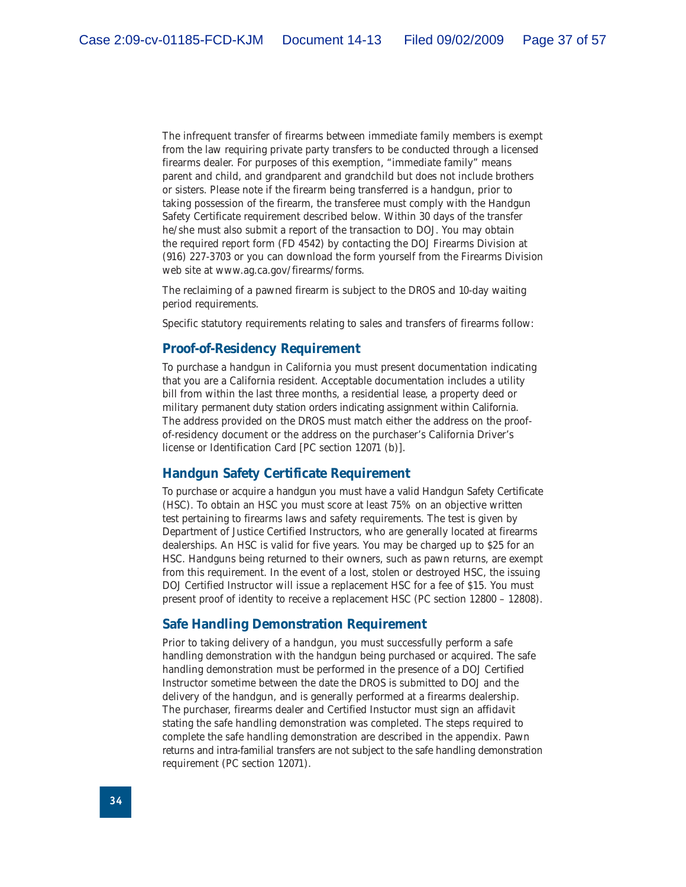The infrequent transfer of firearms between immediate family members is exempt from the law requiring private party transfers to be conducted through a licensed firearms dealer. For purposes of this exemption, "immediate family" means parent and child, and grandparent and grandchild but does not include brothers or sisters. Please note if the firearm being transferred is a handgun, prior to taking possession of the firearm, the transferee must comply with the Handgun Safety Certificate requirement described below. Within 30 days of the transfer he/she must also submit a report of the transaction to DOJ. You may obtain the required report form (FD 4542) by contacting the DOJ Firearms Division at (916) 227-3703 or you can download the form yourself from the Firearms Division web site at www.ag.ca.gov/firearms/forms.

The reclaiming of a pawned firearm is subject to the DROS and 10-day waiting period requirements.

Specific statutory requirements relating to sales and transfers of firearms follow:

#### **Proof-of-Residency Requirement**

To purchase a handgun in California you must present documentation indicating that you are a California resident. Acceptable documentation includes a utility bill from within the last three months, a residential lease, a property deed or military permanent duty station orders indicating assignment within California. The address provided on the DROS must match either the address on the proofof-residency document or the address on the purchaser's California Driver's license or Identification Card [PC section 12071 (b)].

#### **Handgun Safety Certificate Requirement**

To purchase or acquire a handgun you must have a valid Handgun Safety Certificate (HSC). To obtain an HSC you must score at least 75% on an objective written test pertaining to firearms laws and safety requirements. The test is given by Department of Justice Certified Instructors, who are generally located at firearms dealerships. An HSC is valid for five years. You may be charged up to \$25 for an HSC. Handguns being returned to their owners, such as pawn returns, are exempt from this requirement. In the event of a lost, stolen or destroyed HSC, the issuing DOJ Certified Instructor will issue a replacement HSC for a fee of \$15. You must present proof of identity to receive a replacement HSC (PC section 12800 – 12808).

#### **Safe Handling Demonstration Requirement**

Prior to taking delivery of a handgun, you must successfully perform a safe handling demonstration with the handgun being purchased or acquired. The safe handling demonstration must be performed in the presence of a DOJ Certified Instructor sometime between the date the DROS is submitted to DOJ and the delivery of the handgun, and is generally performed at a firearms dealership. The purchaser, firearms dealer and Certified Instuctor must sign an affidavit stating the safe handling demonstration was completed. The steps required to complete the safe handling demonstration are described in the appendix. Pawn returns and intra-familial transfers are not subject to the safe handling demonstration requirement (PC section 12071).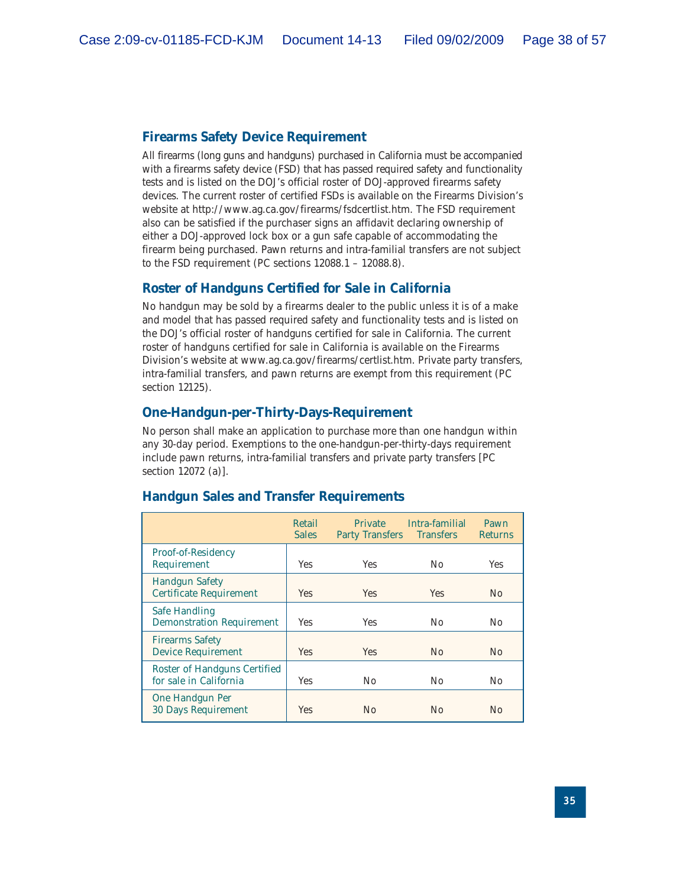#### **Firearms Safety Device Requirement**

All firearms (long guns and handguns) purchased in California must be accompanied with a firearms safety device (FSD) that has passed required safety and functionality tests and is listed on the DOJ's official roster of DOJ-approved firearms safety devices. The current roster of certified FSDs is available on the Firearms Division's website at http://www.ag.ca.gov/firearms/fsdcertlist.htm. The FSD requirement also can be satisfied if the purchaser signs an affidavit declaring ownership of either a DOJ-approved lock box or a gun safe capable of accommodating the firearm being purchased. Pawn returns and intra-familial transfers are not subject to the FSD requirement (PC sections 12088.1 – 12088.8).

#### **Roster of Handguns Certified for Sale in California**

No handgun may be sold by a firearms dealer to the public unless it is of a make and model that has passed required safety and functionality tests and is listed on the DOJ's official roster of handguns certified for sale in California. The current roster of handguns certified for sale in California is available on the Firearms Division's website at www.ag.ca.gov/firearms/certlist.htm. Private party transfers, intra-familial transfers, and pawn returns are exempt from this requirement (PC section 12125).

#### **One-Handgun-per-Thirty-Days-Requirement**

No person shall make an application to purchase more than one handgun within any 30-day period. Exemptions to the one-handgun-per-thirty-days requirement include pawn returns, intra-familial transfers and private party transfers [PC section 12072 (a)].

|                                                               | Retail<br><b>Sales</b> | <b>Private</b><br><b>Party Transfers</b> | Intra-familial<br><b>Transfers</b> | Pawn<br><b>Returns</b> |
|---------------------------------------------------------------|------------------------|------------------------------------------|------------------------------------|------------------------|
| <b>Proof-of-Residency</b><br><b>Requirement</b>               | Yes                    | Yes                                      | N <sub>0</sub>                     | <b>Yes</b>             |
| <b>Handgun Safety</b><br><b>Certificate Requirement</b>       | <b>Yes</b>             | <b>Yes</b>                               | <b>Yes</b>                         | N <sub>0</sub>         |
| <b>Safe Handling</b><br><b>Demonstration Requirement</b>      | Yes                    | Yes                                      | N <sub>0</sub>                     | No                     |
| <b>Firearms Safety</b><br><b>Device Requirement</b>           | Yes.                   | <b>Yes</b>                               | No.                                | No.                    |
| <b>Roster of Handguns Certified</b><br>for sale in California | Yes                    | No                                       | No                                 | No                     |
| <b>One Handgun Per</b><br><b>30 Days Requirement</b>          | <b>Yes</b>             | N <sub>0</sub>                           | N <sub>0</sub>                     | No                     |

#### **Handgun Sales and Transfer Requirements**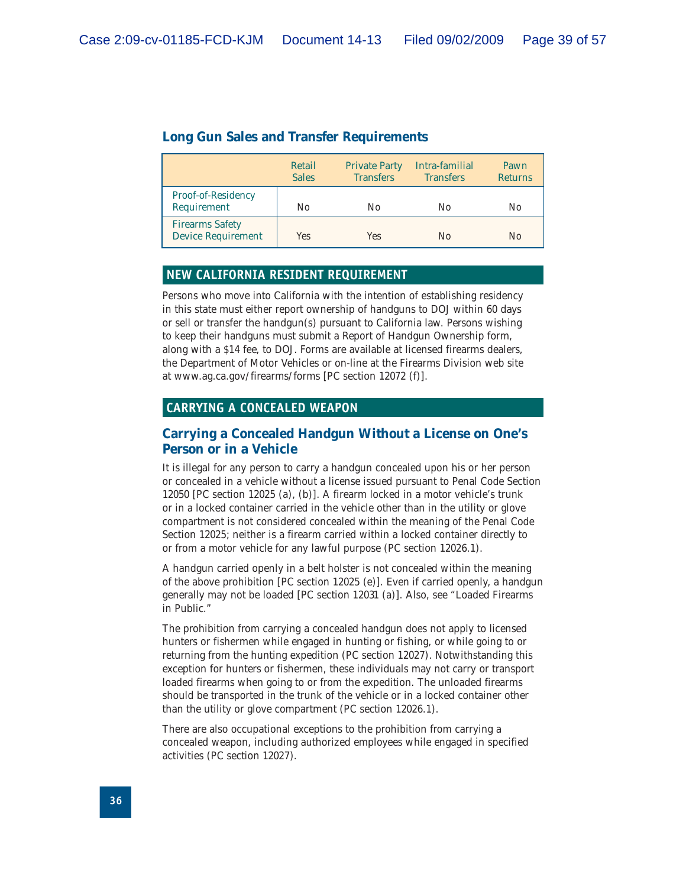#### **Long Gun Sales and Transfer Requirements**

|                                                     | <b>Retail</b><br><b>Sales</b> | <b>Private Party</b><br><b>Transfers</b> | Intra-familial<br><b>Transfers</b> | Pawn<br><b>Returns</b> |
|-----------------------------------------------------|-------------------------------|------------------------------------------|------------------------------------|------------------------|
| <b>Proof-of-Residency</b><br><b>Requirement</b>     | No                            | No                                       | No                                 | No                     |
| <b>Firearms Safety</b><br><b>Device Requirement</b> | Yes                           | Yes                                      | No                                 | N <sub>0</sub>         |

#### **NEW CALIFORNIA RESIDENT REQUIREMENT**

Persons who move into California with the intention of establishing residency in this state must either report ownership of handguns to DOJ within 60 days or sell or transfer the handgun(s) pursuant to California law. Persons wishing to keep their handguns must submit a Report of Handgun Ownership form, along with a \$14 fee, to DOJ. Forms are available at licensed firearms dealers, the Department of Motor Vehicles or on-line at the Firearms Division web site at www.ag.ca.gov/firearms/forms [PC section 12072 (f)].

#### **CARRYING A CONCEALED WEAPON**

#### **Carrying a Concealed Handgun Without a License on One's Person or in a Vehicle**

It is illegal for any person to carry a handgun concealed upon his or her person or concealed in a vehicle without a license issued pursuant to Penal Code Section 12050 [PC section 12025 (a), (b)]. A firearm locked in a motor vehicle's trunk or in a locked container carried in the vehicle other than in the utility or glove compartment is not considered concealed within the meaning of the Penal Code Section 12025; neither is a firearm carried within a locked container directly to or from a motor vehicle for any lawful purpose (PC section 12026.1).

A handgun carried openly in a belt holster is not concealed within the meaning of the above prohibition [PC section 12025 (e)]. Even if carried openly, a handgun generally may not be loaded [PC section 12031 (a)]. Also, see "Loaded Firearms in Public."

The prohibition from carrying a concealed handgun does not apply to licensed hunters or fishermen while engaged in hunting or fishing, or while going to or returning from the hunting expedition (PC section 12027). Notwithstanding this exception for hunters or fishermen, these individuals may not carry or transport loaded firearms when going to or from the expedition. The unloaded firearms should be transported in the trunk of the vehicle or in a locked container other than the utility or glove compartment (PC section 12026.1).

There are also occupational exceptions to the prohibition from carrying a concealed weapon, including authorized employees while engaged in specified activities (PC section 12027).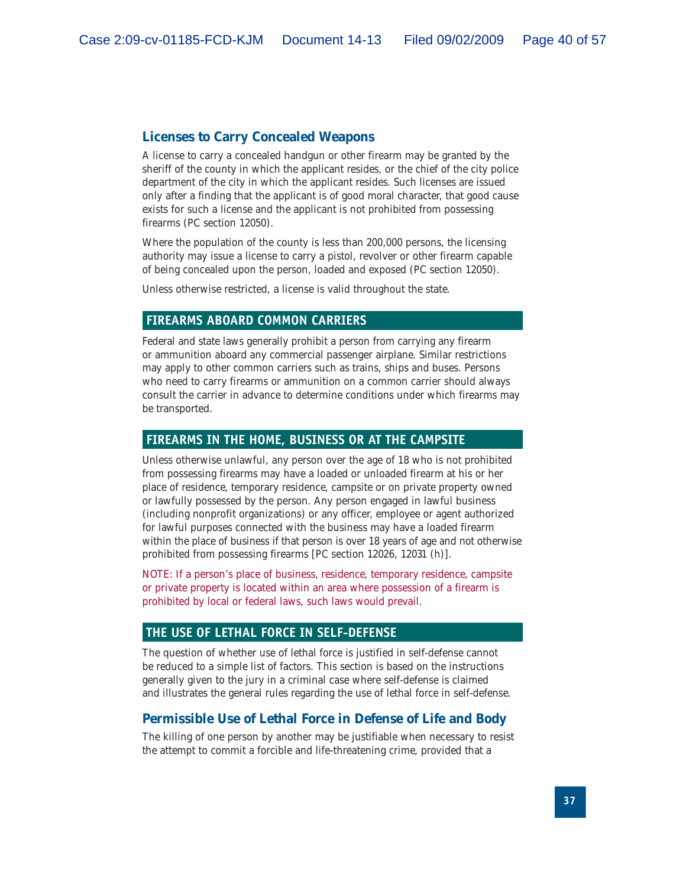#### **Licenses to Carry Concealed Weapons**

A license to carry a concealed handgun or other firearm may be granted by the sheriff of the county in which the applicant resides, or the chief of the city police department of the city in which the applicant resides. Such licenses are issued only after a finding that the applicant is of good moral character, that good cause exists for such a license and the applicant is not prohibited from possessing firearms (PC section 12050).

Where the population of the county is less than 200,000 persons, the licensing authority may issue a license to carry a pistol, revolver or other firearm capable of being concealed upon the person, loaded and exposed (PC section 12050).

Unless otherwise restricted, a license is valid throughout the state.

#### **FIREARMS ABOARD COMMON CARRIERS**

Federal and state laws generally prohibit a person from carrying any firearm or ammunition aboard any commercial passenger airplane. Similar restrictions may apply to other common carriers such as trains, ships and buses. Persons who need to carry firearms or ammunition on a common carrier should always consult the carrier in advance to determine conditions under which firearms may be transported.

#### **FIREARMS IN THE HOME, BUSINESS OR AT THE CAMPSITE**

Unless otherwise unlawful, any person over the age of 18 who is not prohibited from possessing firearms may have a loaded or unloaded firearm at his or her place of residence, temporary residence, campsite or on private property owned or lawfully possessed by the person. Any person engaged in lawful business (including nonprofit organizations) or any officer, employee or agent authorized for lawful purposes connected with the business may have a loaded firearm within the place of business if that person is over 18 years of age and not otherwise prohibited from possessing firearms [PC section 12026, 12031 (h)].

NOTE: If a person's place of business, residence, temporary residence, campsite or private property is located within an area where possession of a firearm is prohibited by local or federal laws, such laws would prevail.

#### **THE USE OF LETHAL FORCE IN SELF-DEFENSE**

The question of whether use of lethal force is justified in self-defense cannot be reduced to a simple list of factors. This section is based on the instructions generally given to the jury in a criminal case where self-defense is claimed and illustrates the general rules regarding the use of lethal force in self-defense.

#### **Permissible Use of Lethal Force in Defense of Life and Body**

The killing of one person by another may be justifiable when necessary to resist the attempt to commit a forcible and life-threatening crime, provided that a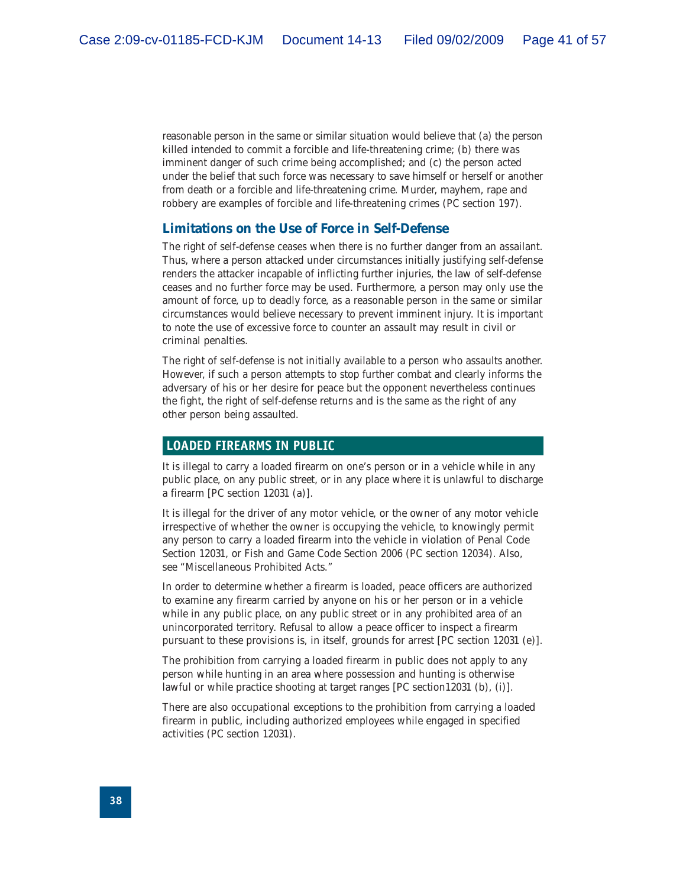reasonable person in the same or similar situation would believe that (a) the person killed intended to commit a forcible and life-threatening crime; (b) there was imminent danger of such crime being accomplished; and (c) the person acted under the belief that such force was necessary to save himself or herself or another from death or a forcible and life-threatening crime. Murder, mayhem, rape and robbery are examples of forcible and life-threatening crimes (PC section 197).

#### **Limitations on the Use of Force in Self-Defense**

The right of self-defense ceases when there is no further danger from an assailant. Thus, where a person attacked under circumstances initially justifying self-defense renders the attacker incapable of inflicting further injuries, the law of self-defense ceases and no further force may be used. Furthermore, a person may only use the amount of force, up to deadly force, as a reasonable person in the same or similar circumstances would believe necessary to prevent imminent injury. It is important to note the use of excessive force to counter an assault may result in civil or criminal penalties.

The right of self-defense is not initially available to a person who assaults another. However, if such a person attempts to stop further combat and clearly informs the adversary of his or her desire for peace but the opponent nevertheless continues the fight, the right of self-defense returns and is the same as the right of any other person being assaulted.

#### **LOADED FIREARMS IN PUBLIC**

It is illegal to carry a loaded firearm on one's person or in a vehicle while in any public place, on any public street, or in any place where it is unlawful to discharge a firearm [PC section 12031 (a)].

It is illegal for the driver of any motor vehicle, or the owner of any motor vehicle irrespective of whether the owner is occupying the vehicle, to knowingly permit any person to carry a loaded firearm into the vehicle in violation of Penal Code Section 12031, or Fish and Game Code Section 2006 (PC section 12034). Also, see "Miscellaneous Prohibited Acts."

In order to determine whether a firearm is loaded, peace officers are authorized to examine any firearm carried by anyone on his or her person or in a vehicle while in any public place, on any public street or in any prohibited area of an unincorporated territory. Refusal to allow a peace officer to inspect a firearm pursuant to these provisions is, in itself, grounds for arrest [PC section 12031 (e)].

The prohibition from carrying a loaded firearm in public does not apply to any person while hunting in an area where possession and hunting is otherwise lawful or while practice shooting at target ranges [PC section12031 (b), (i)].

There are also occupational exceptions to the prohibition from carrying a loaded firearm in public, including authorized employees while engaged in specified activities (PC section 12031).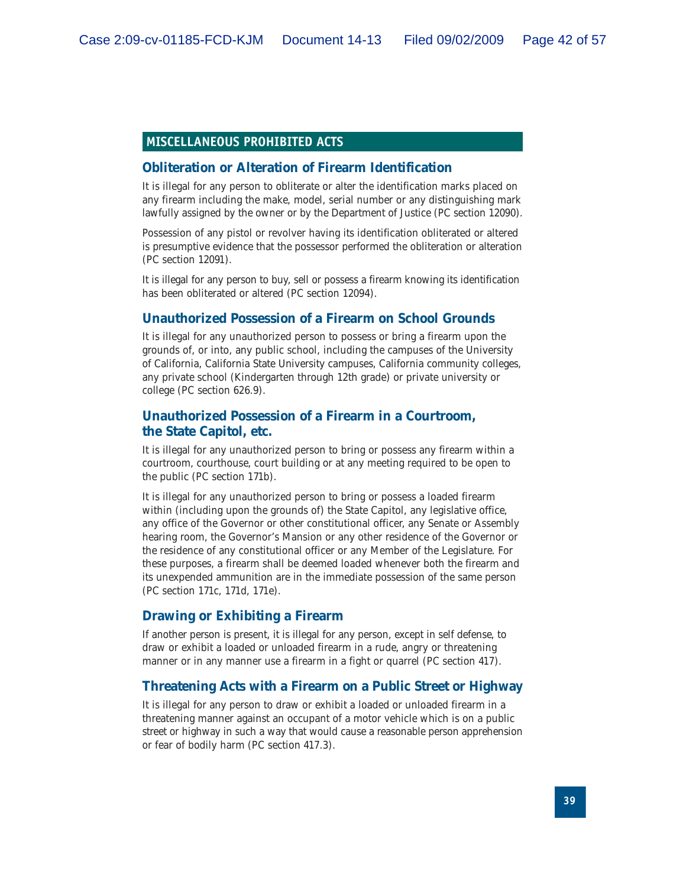#### **MISCELLANEOUS PROHIBITED ACTS**

#### **Obliteration or Alteration of Firearm Identification**

It is illegal for any person to obliterate or alter the identification marks placed on any firearm including the make, model, serial number or any distinguishing mark lawfully assigned by the owner or by the Department of Justice (PC section 12090).

Possession of any pistol or revolver having its identification obliterated or altered is presumptive evidence that the possessor performed the obliteration or alteration (PC section 12091).

It is illegal for any person to buy, sell or possess a firearm knowing its identification has been obliterated or altered (PC section 12094).

#### **Unauthorized Possession of a Firearm on School Grounds**

It is illegal for any unauthorized person to possess or bring a firearm upon the grounds of, or into, any public school, including the campuses of the University of California, California State University campuses, California community colleges, any private school (Kindergarten through 12th grade) or private university or college (PC section 626.9).

#### **Unauthorized Possession of a Firearm in a Courtroom, the State Capitol, etc.**

It is illegal for any unauthorized person to bring or possess any firearm within a courtroom, courthouse, court building or at any meeting required to be open to the public (PC section 171b).

It is illegal for any unauthorized person to bring or possess a loaded firearm within (including upon the grounds of) the State Capitol, any legislative office, any office of the Governor or other constitutional officer, any Senate or Assembly hearing room, the Governor's Mansion or any other residence of the Governor or the residence of any constitutional officer or any Member of the Legislature. For these purposes, a firearm shall be deemed loaded whenever both the firearm and its unexpended ammunition are in the immediate possession of the same person (PC section 171c, 171d, 171e).

#### **Drawing or Exhibiting a Firearm**

If another person is present, it is illegal for any person, except in self defense, to draw or exhibit a loaded or unloaded firearm in a rude, angry or threatening manner or in any manner use a firearm in a fight or quarrel (PC section 417).

#### **Threatening Acts with a Firearm on a Public Street or Highway**

It is illegal for any person to draw or exhibit a loaded or unloaded firearm in a threatening manner against an occupant of a motor vehicle which is on a public street or highway in such a way that would cause a reasonable person apprehension or fear of bodily harm (PC section 417.3).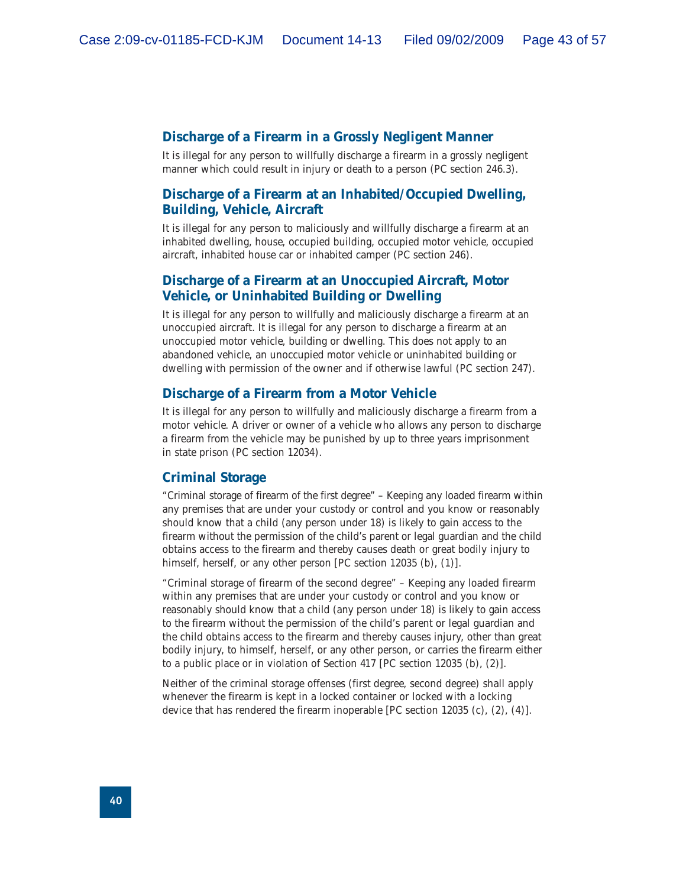#### **Discharge of a Firearm in a Grossly Negligent Manner**

It is illegal for any person to willfully discharge a firearm in a grossly negligent manner which could result in injury or death to a person (PC section 246.3).

#### **Discharge of a Firearm at an Inhabited/Occupied Dwelling, Building, Vehicle, Aircraft**

It is illegal for any person to maliciously and willfully discharge a firearm at an inhabited dwelling, house, occupied building, occupied motor vehicle, occupied aircraft, inhabited house car or inhabited camper (PC section 246).

#### **Discharge of a Firearm at an Unoccupied Aircraft, Motor Vehicle, or Uninhabited Building or Dwelling**

It is illegal for any person to willfully and maliciously discharge a firearm at an unoccupied aircraft. It is illegal for any person to discharge a firearm at an unoccupied motor vehicle, building or dwelling. This does not apply to an abandoned vehicle, an unoccupied motor vehicle or uninhabited building or dwelling with permission of the owner and if otherwise lawful (PC section 247).

#### **Discharge of a Firearm from a Motor Vehicle**

It is illegal for any person to willfully and maliciously discharge a firearm from a motor vehicle. A driver or owner of a vehicle who allows any person to discharge a firearm from the vehicle may be punished by up to three years imprisonment in state prison (PC section 12034).

#### **Criminal Storage**

"Criminal storage of firearm of the first degree" – Keeping any loaded firearm within any premises that are under your custody or control and you know or reasonably should know that a child (any person under 18) is likely to gain access to the firearm without the permission of the child's parent or legal guardian and the child obtains access to the firearm and thereby causes death or great bodily injury to himself, herself, or any other person [PC section 12035 (b), (1)].

"Criminal storage of firearm of the second degree" – Keeping any loaded firearm within any premises that are under your custody or control and you know or reasonably should know that a child (any person under 18) is likely to gain access to the firearm without the permission of the child's parent or legal guardian and the child obtains access to the firearm and thereby causes injury, other than great bodily injury, to himself, herself, or any other person, or carries the firearm either to a public place or in violation of Section 417 [PC section 12035 (b), (2)].

Neither of the criminal storage offenses (first degree, second degree) shall apply whenever the firearm is kept in a locked container or locked with a locking device that has rendered the firearm inoperable [PC section 12035 (c), (2), (4)].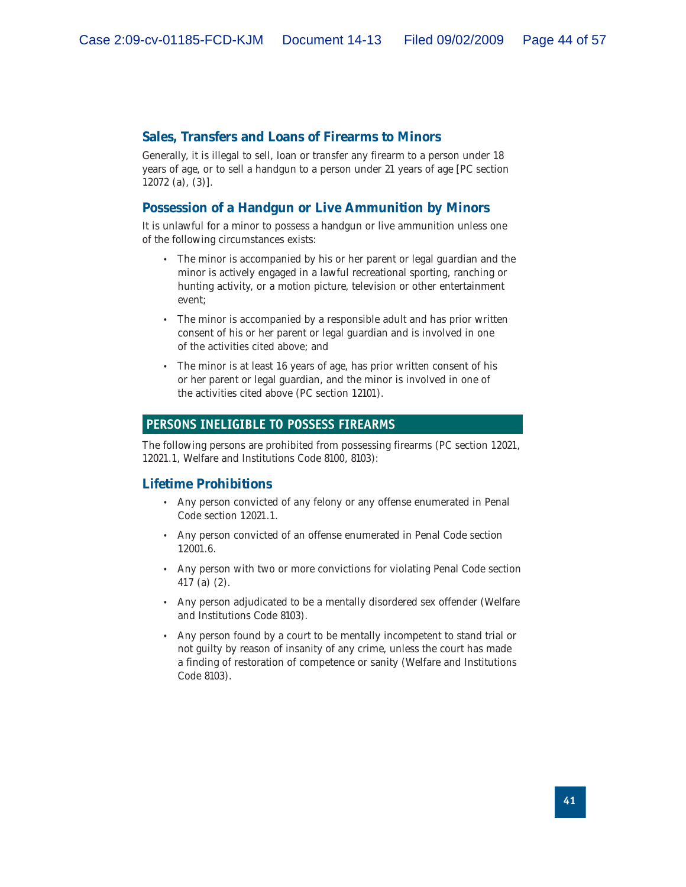#### **Sales, Transfers and Loans of Firearms to Minors**

Generally, it is illegal to sell, loan or transfer any firearm to a person under 18 years of age, or to sell a handgun to a person under 21 years of age [PC section 12072 (a), (3)].

#### **Possession of a Handgun or Live Ammunition by Minors**

It is unlawful for a minor to possess a handgun or live ammunition unless one of the following circumstances exists:

- The minor is accompanied by his or her parent or legal guardian and the minor is actively engaged in a lawful recreational sporting, ranching or hunting activity, or a motion picture, television or other entertainment event;
- The minor is accompanied by a responsible adult and has prior written consent of his or her parent or legal guardian and is involved in one of the activities cited above; and
- The minor is at least 16 years of age, has prior written consent of his or her parent or legal guardian, and the minor is involved in one of the activities cited above (PC section 12101).

#### **PERSONS INELIGIBLE TO POSSESS FIREARMS**

The following persons are prohibited from possessing firearms (PC section 12021, 12021.1, Welfare and Institutions Code 8100, 8103):

#### **Lifetime Prohibitions**

- Any person convicted of any felony or any offense enumerated in Penal Code section 12021.1.
- Any person convicted of an offense enumerated in Penal Code section 12001.6.
- Any person with two or more convictions for violating Penal Code section 417 (a) (2).
- Any person adjudicated to be a mentally disordered sex offender (Welfare and Institutions Code 8103).
- Any person found by a court to be mentally incompetent to stand trial or not guilty by reason of insanity of any crime, unless the court has made a finding of restoration of competence or sanity (Welfare and Institutions Code 8103).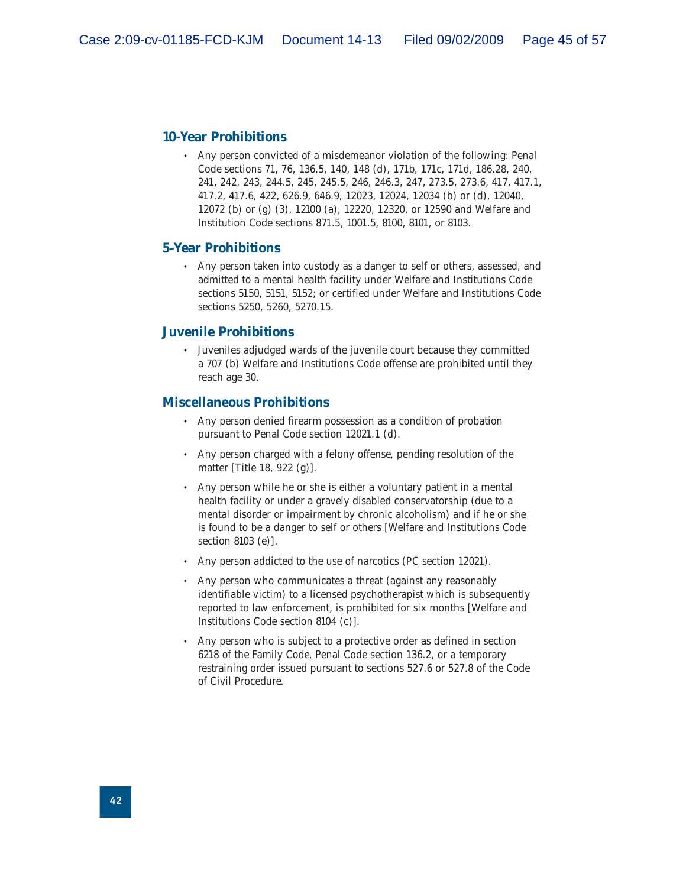#### **10-Year Prohibitions**

• Any person convicted of a misdemeanor violation of the following: Penal Code sections 71, 76, 136.5, 140, 148 (d), 171b, 171c, 171d, 186.28, 240, 241, 242, 243, 244.5, 245, 245.5, 246, 246.3, 247, 273.5, 273.6, 417, 417.1, 417.2, 417.6, 422, 626.9, 646.9, 12023, 12024, 12034 (b) or (d), 12040, 12072 (b) or (g) (3), 12100 (a), 12220, 12320, or 12590 and Welfare and Institution Code sections 871.5, 1001.5, 8100, 8101, or 8103.

#### **5-Year Prohibitions**

• Any person taken into custody as a danger to self or others, assessed, and admitted to a mental health facility under Welfare and Institutions Code sections 5150, 5151, 5152; or certified under Welfare and Institutions Code sections 5250, 5260, 5270.15.

#### **Juvenile Prohibitions**

• Juveniles adjudged wards of the juvenile court because they committed a 707 (b) Welfare and Institutions Code offense are prohibited until they reach age 30.

#### **Miscellaneous Prohibitions**

- Any person denied firearm possession as a condition of probation pursuant to Penal Code section 12021.1 (d).
- Any person charged with a felony offense, pending resolution of the matter [Title 18, 922 (g)].
- Any person while he or she is either a voluntary patient in a mental health facility or under a gravely disabled conservatorship (due to a mental disorder or impairment by chronic alcoholism) and if he or she is found to be a danger to self or others [Welfare and Institutions Code section 8103 (e)].
- Any person addicted to the use of narcotics (PC section 12021).
- Any person who communicates a threat (against any reasonably identifiable victim) to a licensed psychotherapist which is subsequently reported to law enforcement, is prohibited for six months [Welfare and Institutions Code section 8104 (c)].
- Any person who is subject to a protective order as defined in section 6218 of the Family Code, Penal Code section 136.2, or a temporary restraining order issued pursuant to sections 527.6 or 527.8 of the Code of Civil Procedure.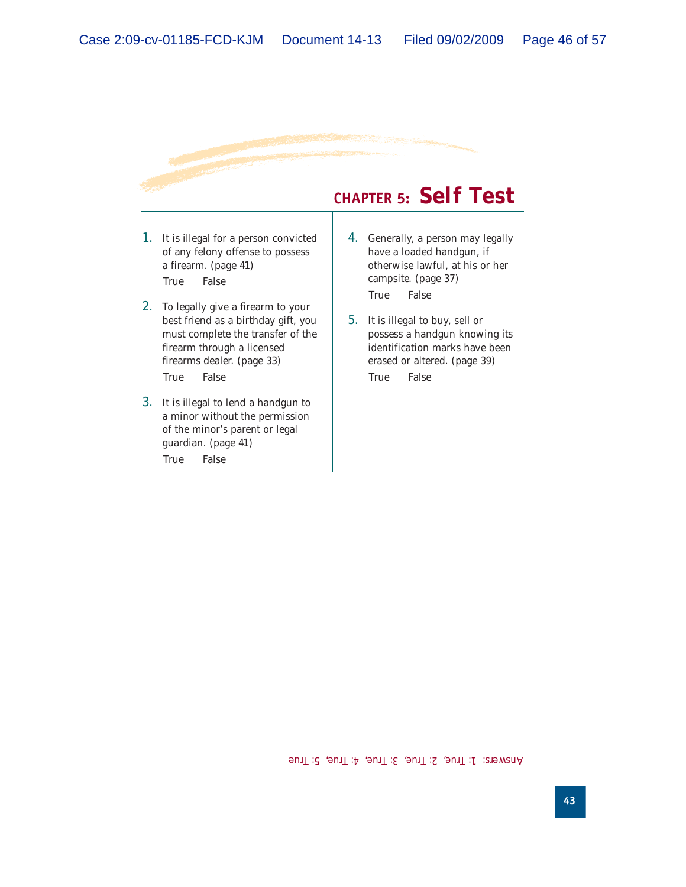### **CHAPTER 5: Self Test**

- 1. It is illegal for a person convicted of any felony offense to possess a firearm. (page 41) True False
- 2. To legally give a firearm to your best friend as a birthday gift, you must complete the transfer of the firearm through a licensed firearms dealer. (page 33) True False
- 3. It is illegal to lend a handgun to a minor without the permission of the minor's parent or legal guardian. (page 41) True False
- 4. Generally, a person may legally have a loaded handgun, if otherwise lawful, at his or her campsite. (page 37) True False
- 5. It is illegal to buy, sell or possess a handgun knowing its identification marks have been erased or altered. (page 39)

True False

Answers: 1: True, 2: True, 3: True, 4: True, 5: True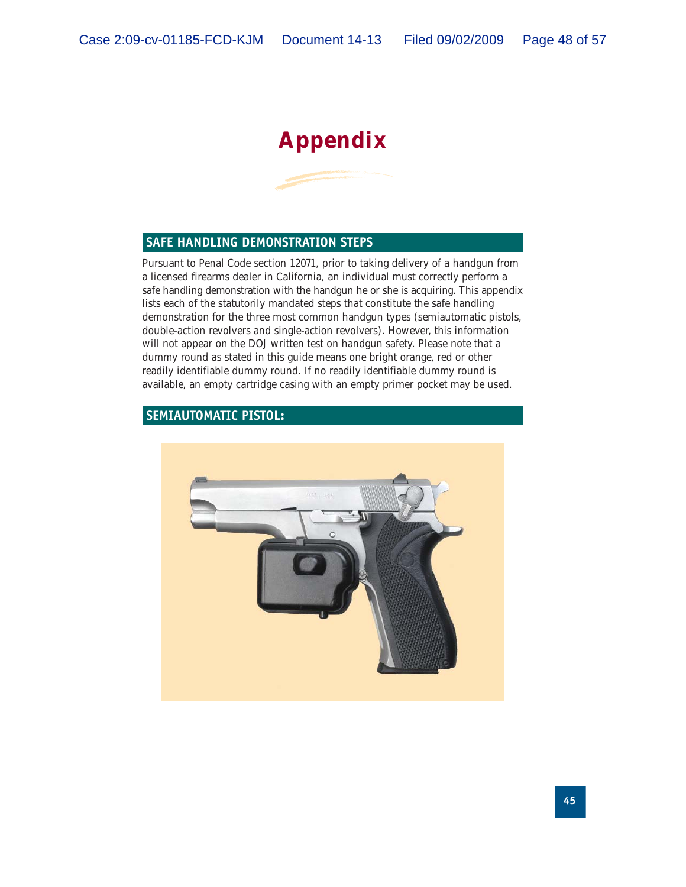

#### **SAFE HANDLING DEMONSTRATION STEPS**

Pursuant to Penal Code section 12071, prior to taking delivery of a handgun from a licensed firearms dealer in California, an individual must correctly perform a safe handling demonstration with the handgun he or she is acquiring. This appendix lists each of the statutorily mandated steps that constitute the safe handling demonstration for the three most common handgun types (semiautomatic pistols, double-action revolvers and single-action revolvers). However, this information will not appear on the DOJ written test on handgun safety. Please note that a dummy round as stated in this guide means one bright orange, red or other readily identifiable dummy round. If no readily identifiable dummy round is available, an empty cartridge casing with an empty primer pocket may be used.

#### **SEMIAUTOMATIC PISTOL:**

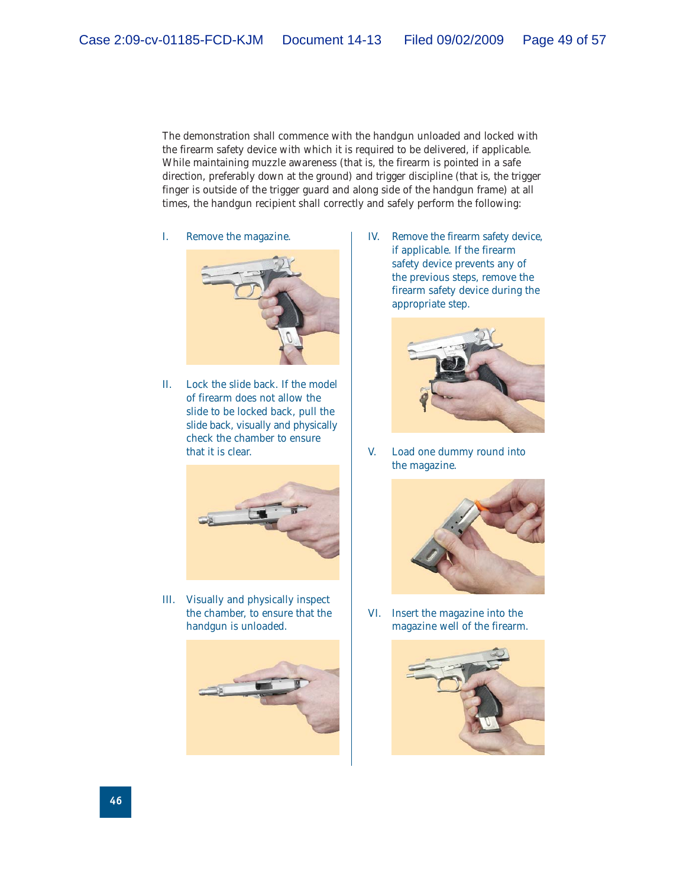The demonstration shall commence with the handgun unloaded and locked with the firearm safety device with which it is required to be delivered, if applicable. While maintaining muzzle awareness (that is, the firearm is pointed in a safe direction, preferably down at the ground) and trigger discipline (that is, the trigger finger is outside of the trigger guard and along side of the handgun frame) at all times, the handgun recipient shall correctly and safely perform the following:

#### I. Remove the magazine.



II. Lock the slide back. If the model of firearm does not allow the slide to be locked back, pull the slide back, visually and physically check the chamber to ensure that it is clear.



III. Visually and physically inspect the chamber, to ensure that the handgun is unloaded.



IV. Remove the firearm safety device, if applicable. If the firearm safety device prevents any of the previous steps, remove the firearm safety device during the appropriate step.



V. Load one dummy round into the magazine.



VI. Insert the magazine into the magazine well of the firearm.

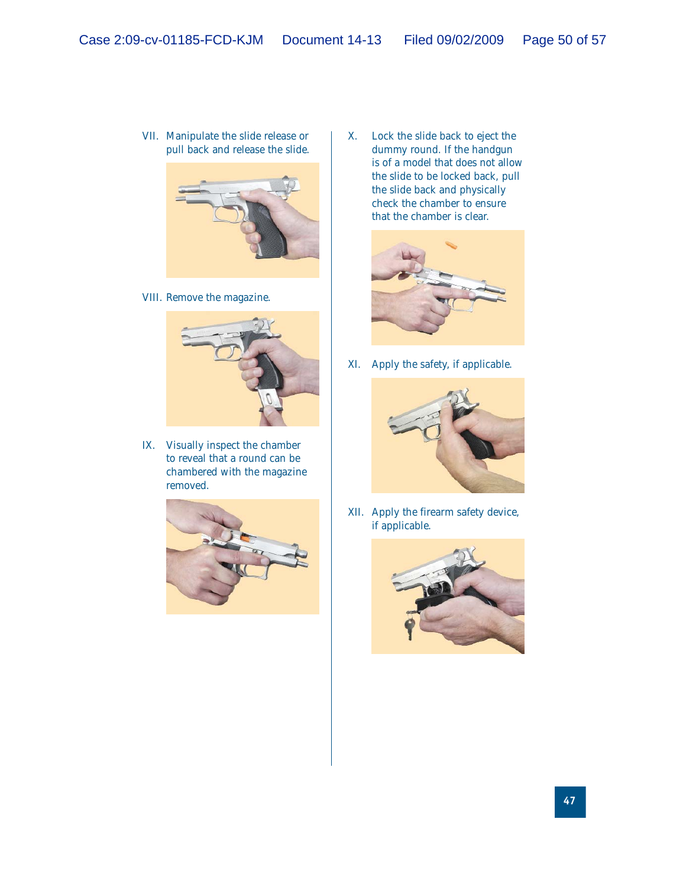VII. Manipulate the slide release or pull back and release the slide.



VIII. Remove the magazine.



IX. Visually inspect the chamber to reveal that a round can be chambered with the magazine removed.



X. Lock the slide back to eject the dummy round. If the handgun is of a model that does not allow the slide to be locked back, pull the slide back and physically check the chamber to ensure that the chamber is clear.



XI. Apply the safety, if applicable.



XII. Apply the firearm safety device, if applicable.

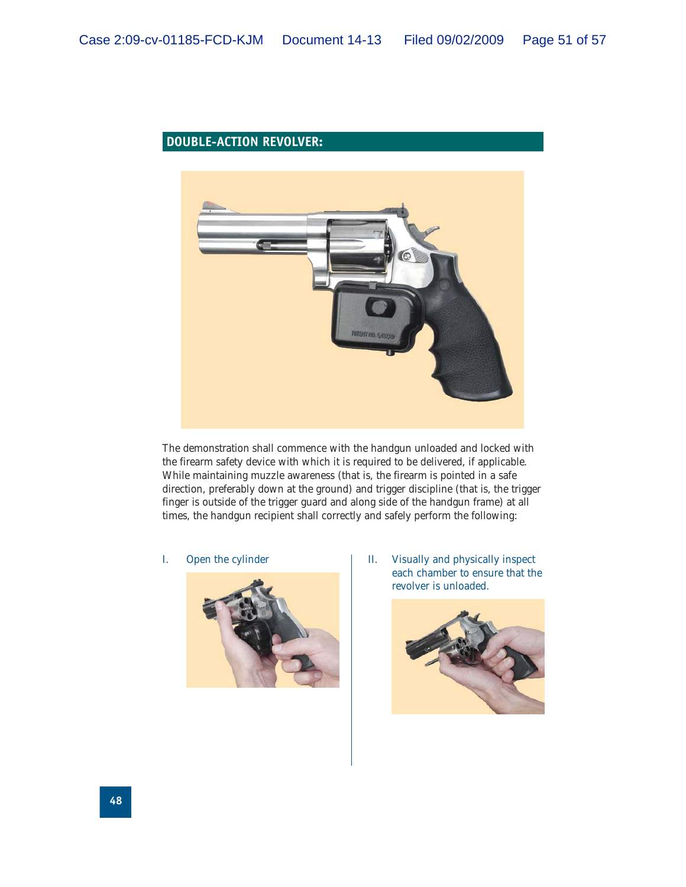#### **DOUBLE-ACTION REVOLVER:**



The demonstration shall commence with the handgun unloaded and locked with the firearm safety device with which it is required to be delivered, if applicable. While maintaining muzzle awareness (that is, the firearm is pointed in a safe direction, preferably down at the ground) and trigger discipline (that is, the trigger finger is outside of the trigger guard and along side of the handgun frame) at all times, the handgun recipient shall correctly and safely perform the following:



I. Open the cylinder **II.** Visually and physically inspect each chamber to ensure that the revolver is unloaded.

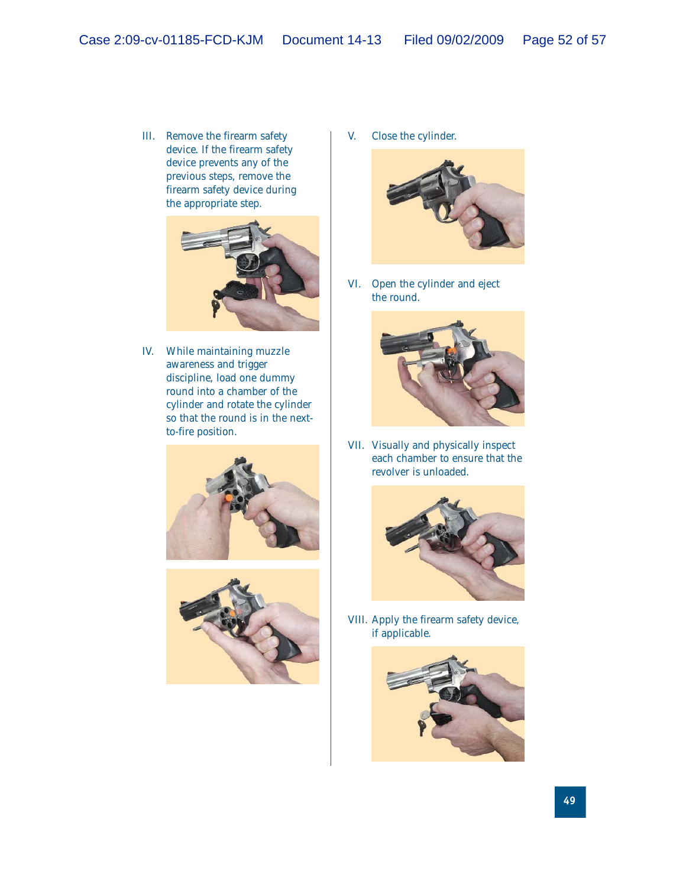III. Remove the firearm safety device. If the firearm safety device prevents any of the previous steps, remove the firearm safety device during the appropriate step.



IV. While maintaining muzzle awareness and trigger discipline, load one dummy round into a chamber of the cylinder and rotate the cylinder so that the round is in the nextto-fire position.





V. Close the cylinder.



VI. Open the cylinder and eject the round.



VII. Visually and physically inspect each chamber to ensure that the revolver is unloaded.



VIII. Apply the firearm safety device, if applicable.

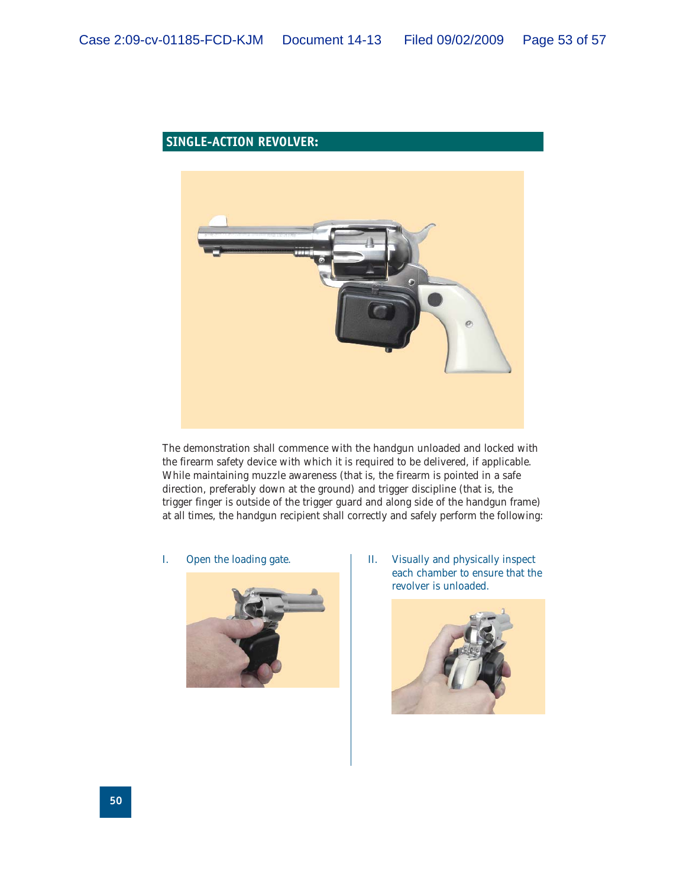#### **SINGLE-ACTION REVOLVER:**



The demonstration shall commence with the handgun unloaded and locked with the firearm safety device with which it is required to be delivered, if applicable. While maintaining muzzle awareness (that is, the firearm is pointed in a safe direction, preferably down at the ground) and trigger discipline (that is, the trigger finger is outside of the trigger guard and along side of the handgun frame) at all times, the handgun recipient shall correctly and safely perform the following:



I. Open the loading gate. **I.** II. Visually and physically inspect each chamber to ensure that the revolver is unloaded.

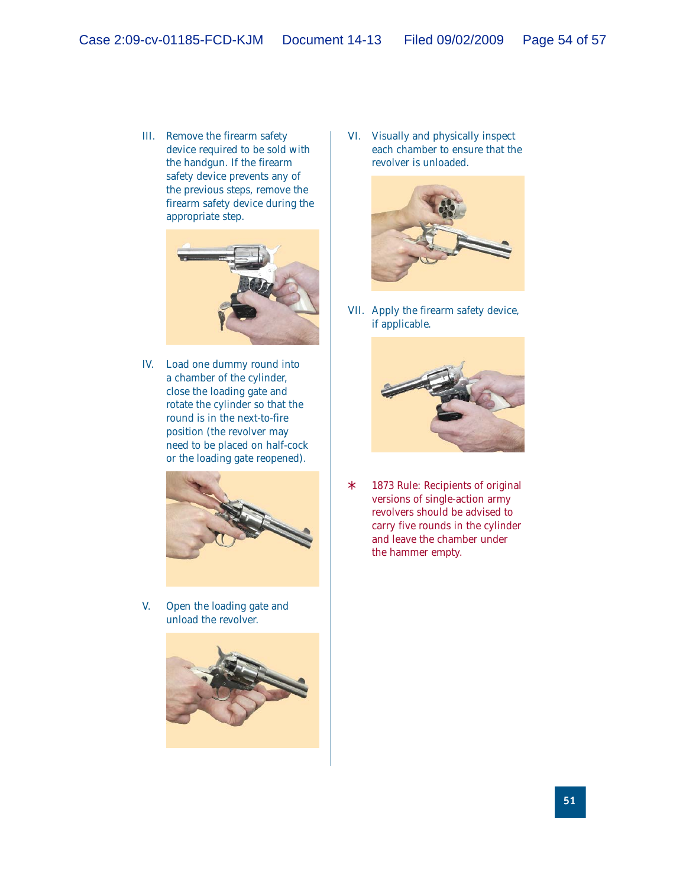III. Remove the firearm safety device required to be sold with the handgun. If the firearm safety device prevents any of the previous steps, remove the firearm safety device during the appropriate step.



IV. Load one dummy round into a chamber of the cylinder, close the loading gate and rotate the cylinder so that the round is in the next-to-fire position (the revolver may need to be placed on half-cock or the loading gate reopened).



V. Open the loading gate and unload the revolver.



VI. Visually and physically inspect each chamber to ensure that the revolver is unloaded.



VII. Apply the firearm safety device, if applicable.



\* 1873 Rule: Recipients of original versions of single-action army revolvers should be advised to carry five rounds in the cylinder and leave the chamber under the hammer empty.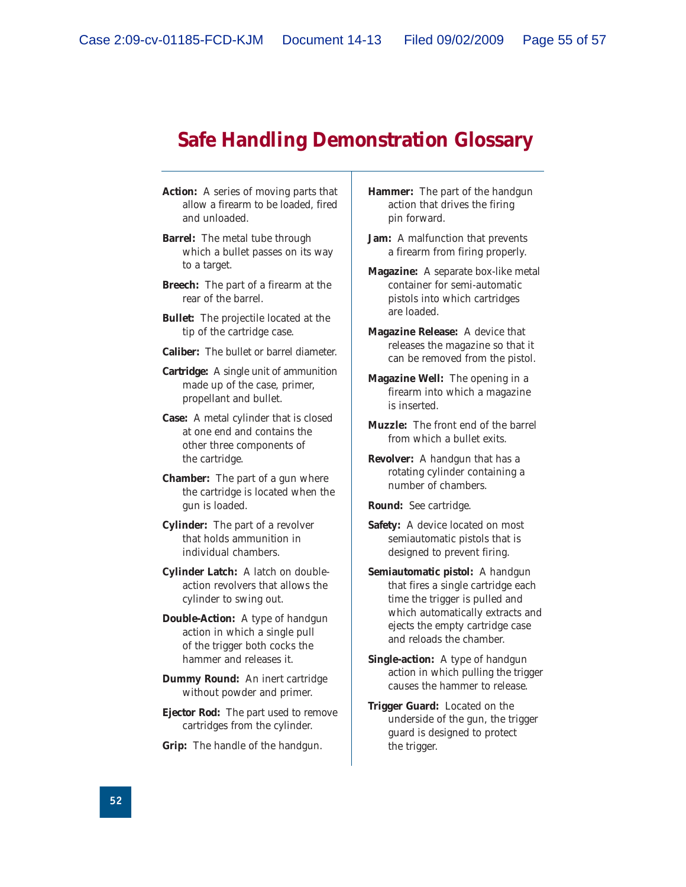### **Safe Handling Demonstration Glossary**

- **Action:** A series of moving parts that allow a firearm to be loaded, fired and unloaded.
- **Barrel:** The metal tube through which a bullet passes on its way to a target.
- **Breech:** The part of a firearm at the rear of the barrel.
- **Bullet:** The projectile located at the tip of the cartridge case.
- **Caliber:** The bullet or barrel diameter.
- **Cartridge:** A single unit of ammunition made up of the case, primer, propellant and bullet.
- **Case:** A metal cylinder that is closed at one end and contains the other three components of the cartridge.
- **Chamber:** The part of a gun where the cartridge is located when the gun is loaded.
- **Cylinder:** The part of a revolver that holds ammunition in individual chambers.
- **Cylinder Latch:** A latch on doubleaction revolvers that allows the cylinder to swing out.
- **Double-Action:** A type of handgun action in which a single pull of the trigger both cocks the hammer and releases it.
- **Dummy Round:** An inert cartridge without powder and primer.
- **Ejector Rod:** The part used to remove cartridges from the cylinder.
- **Grip:** The handle of the handgun.
- **Hammer:** The part of the handgun action that drives the firing pin forward.
- **Jam:** A malfunction that prevents a firearm from firing properly.
- **Magazine:** A separate box-like metal container for semi-automatic pistols into which cartridges are loaded.
- **Magazine Release:** A device that releases the magazine so that it can be removed from the pistol.
- **Magazine Well:** The opening in a firearm into which a magazine is inserted.
- **Muzzle:** The front end of the barrel from which a bullet exits.
- **Revolver:** A handgun that has a rotating cylinder containing a number of chambers.
- **Round:** See cartridge.
- **Safety:** A device located on most semiautomatic pistols that is designed to prevent firing.
- **Semiautomatic pistol:** A handgun that fires a single cartridge each time the trigger is pulled and which automatically extracts and ejects the empty cartridge case and reloads the chamber.
- **Single-action:** A type of handgun action in which pulling the trigger causes the hammer to release.
- **Trigger Guard:** Located on the underside of the gun, the trigger guard is designed to protect the trigger.